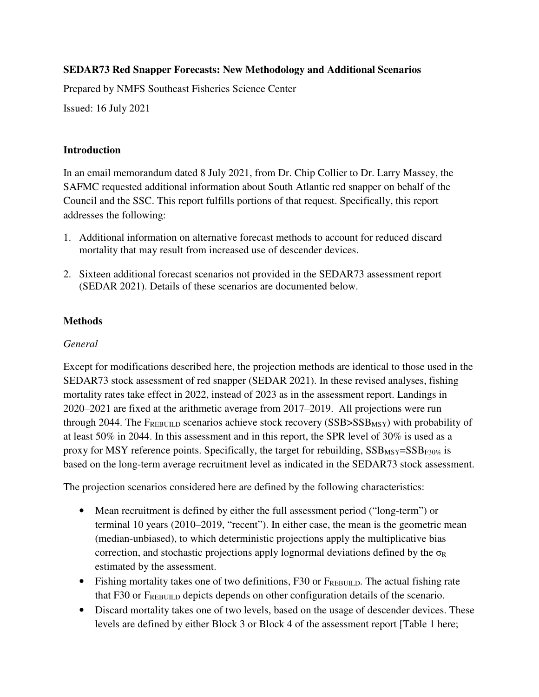## **SEDAR73 Red Snapper Forecasts: New Methodology and Additional Scenarios**

Prepared by NMFS Southeast Fisheries Science Center

Issued: 16 July 2021

#### **Introduction**

In an email memorandum dated 8 July 2021, from Dr. Chip Collier to Dr. Larry Massey, the SAFMC requested additional information about South Atlantic red snapper on behalf of the Council and the SSC. This report fulfills portions of that request. Specifically, this report addresses the following:

- 1. Additional information on alternative forecast methods to account for reduced discard mortality that may result from increased use of descender devices.
- 2. Sixteen additional forecast scenarios not provided in the SEDAR73 assessment report (SEDAR 2021). Details of these scenarios are documented below.

#### **Methods**

## *General*

Except for modifications described here, the projection methods are identical to those used in the SEDAR73 stock assessment of red snapper (SEDAR 2021). In these revised analyses, fishing mortality rates take effect in 2022, instead of 2023 as in the assessment report. Landings in 2020–2021 are fixed at the arithmetic average from 2017–2019. All projections were run through 2044. The FREBUILD scenarios achieve stock recovery (SSB>SSB<sub>MSY</sub>) with probability of at least 50% in 2044. In this assessment and in this report, the SPR level of 30% is used as a proxy for MSY reference points. Specifically, the target for rebuilding,  $SSB_{MSY} = SSB_{F30\%}$  is based on the long-term average recruitment level as indicated in the SEDAR73 stock assessment.

The projection scenarios considered here are defined by the following characteristics:

- Mean recruitment is defined by either the full assessment period ("long-term") or terminal 10 years (2010‒2019, "recent"). In either case, the mean is the geometric mean (median-unbiased), to which deterministic projections apply the multiplicative bias correction, and stochastic projections apply lognormal deviations defined by the  $\sigma_R$ estimated by the assessment.
- Fishing mortality takes one of two definitions, F30 or FREBUILD. The actual fishing rate that F30 or FREBUILD depicts depends on other configuration details of the scenario.
- Discard mortality takes one of two levels, based on the usage of descender devices. These levels are defined by either Block 3 or Block 4 of the assessment report [Table 1 here;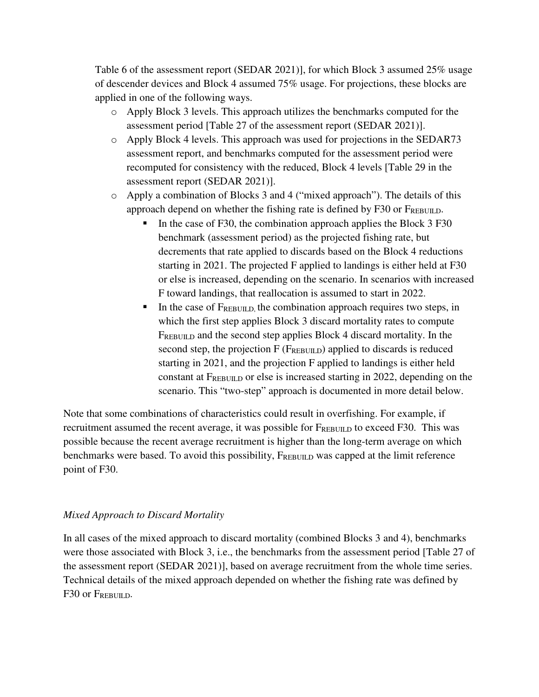Table 6 of the assessment report (SEDAR 2021)], for which Block 3 assumed 25% usage of descender devices and Block 4 assumed 75% usage. For projections, these blocks are applied in one of the following ways.

- o Apply Block 3 levels. This approach utilizes the benchmarks computed for the assessment period [Table 27 of the assessment report (SEDAR 2021)].
- o Apply Block 4 levels. This approach was used for projections in the SEDAR73 assessment report, and benchmarks computed for the assessment period were recomputed for consistency with the reduced, Block 4 levels [Table 29 in the assessment report (SEDAR 2021)].
- o Apply a combination of Blocks 3 and 4 ("mixed approach"). The details of this approach depend on whether the fishing rate is defined by F30 or FREBUILD.
	- In the case of F30, the combination approach applies the Block  $3 F30$ benchmark (assessment period) as the projected fishing rate, but decrements that rate applied to discards based on the Block 4 reductions starting in 2021. The projected F applied to landings is either held at F30 or else is increased, depending on the scenario. In scenarios with increased F toward landings, that reallocation is assumed to start in 2022.
	- In the case of FREBUILD, the combination approach requires two steps, in which the first step applies Block 3 discard mortality rates to compute FREBUILD and the second step applies Block 4 discard mortality. In the second step, the projection  $F(F_{REBUID})$  applied to discards is reduced starting in 2021, and the projection F applied to landings is either held constant at FREBUILD or else is increased starting in 2022, depending on the scenario. This "two-step" approach is documented in more detail below.

Note that some combinations of characteristics could result in overfishing. For example, if recruitment assumed the recent average, it was possible for  $F_{REBULL}$  to exceed F30. This was possible because the recent average recruitment is higher than the long-term average on which benchmarks were based. To avoid this possibility,  $F_{REBULD}$  was capped at the limit reference point of F30.

#### *Mixed Approach to Discard Mortality*

In all cases of the mixed approach to discard mortality (combined Blocks 3 and 4), benchmarks were those associated with Block 3, i.e., the benchmarks from the assessment period [Table 27 of the assessment report (SEDAR 2021)], based on average recruitment from the whole time series. Technical details of the mixed approach depended on whether the fishing rate was defined by F30 or Frebuild.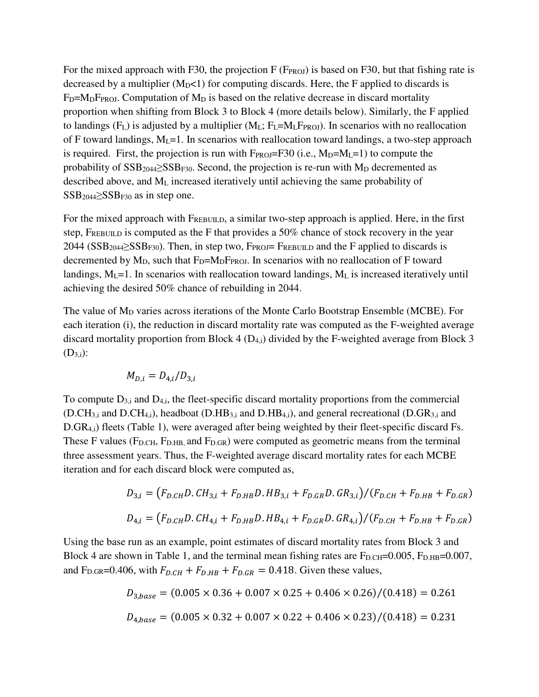For the mixed approach with F30, the projection  $F(F_{PROJ})$  is based on F30, but that fishing rate is decreased by a multiplier  $(M_D<1)$  for computing discards. Here, the F applied to discards is  $F_D=M_DF_{PROJ}$ . Computation of  $M_D$  is based on the relative decrease in discard mortality proportion when shifting from Block 3 to Block 4 (more details below). Similarly, the F applied to landings ( $F_L$ ) is adjusted by a multiplier ( $M_L$ ;  $F_L=M_LF_{PROJ}$ ). In scenarios with no reallocation of F toward landings,  $M<sub>L</sub>=1$ . In scenarios with reallocation toward landings, a two-step approach is required. First, the projection is run with  $F_{PROJ}=F30$  (i.e.,  $M_D=M_L=1$ ) to compute the probability of  $SSB_{2044} \geq SSB_{F30}$ . Second, the projection is re-run with  $M_D$  decremented as described above, and ML increased iteratively until achieving the same probability of  $SSB<sub>2044</sub> \geq SSB<sub>F30</sub>$  as in step one.

For the mixed approach with  $F_{REBULD}$ , a similar two-step approach is applied. Here, in the first step, FREBUILD is computed as the F that provides a 50% chance of stock recovery in the year 2044 ( $SSB_{2044} \geq SSB_{F30}$ ). Then, in step two,  $F_{PROJ}$ =  $F_{REBULD}$  and the F applied to discards is decremented by  $M_D$ , such that  $F_D=M_DF_{PROJ}$ . In scenarios with no reallocation of F toward landings,  $M_L$ =1. In scenarios with reallocation toward landings,  $M_L$  is increased iteratively until achieving the desired 50% chance of rebuilding in 2044.

The value of  $M_D$  varies across iterations of the Monte Carlo Bootstrap Ensemble (MCBE). For each iteration (i), the reduction in discard mortality rate was computed as the F-weighted average discard mortality proportion from Block 4  $(D_{4,i})$  divided by the F-weighted average from Block 3  $(D_{3,i})$ :

$$
M_{D,i}=D_{4,i}/D_{3,i}
$$

To compute  $D_{3,i}$  and  $D_{4,i}$ , the fleet-specific discard mortality proportions from the commercial (D.CH3,i and D.CH4,i), headboat (D.HB3,i and D.HB4,i), and general recreational (D.GR3,i and D.GR4,i) fleets (Table 1), were averaged after being weighted by their fleet-specific discard Fs. These F values ( $F_{D,CH}$ ,  $F_{D,HB}$ , and  $F_{D,GR}$ ) were computed as geometric means from the terminal three assessment years. Thus, the F-weighted average discard mortality rates for each MCBE iteration and for each discard block were computed as,

$$
D_{3,i} = (F_{D,CH}D, CH_{3,i} + F_{D,HB}D, HB_{3,i} + F_{D,GR}D, GR_{3,i})/(F_{D,CH} + F_{D,HB} + F_{D,GR})
$$
  

$$
D_{4,i} = (F_{D,CH}D, CH_{4,i} + F_{D,HB}D, HB_{4,i} + F_{D,GR}D, GR_{4,i})/(F_{D,CH} + F_{D,HB} + F_{D,GR})
$$

Using the base run as an example, point estimates of discard mortality rates from Block 3 and Block 4 are shown in Table 1, and the terminal mean fishing rates are  $F_{D,CH}$ =0.005,  $F_{D,HB}$ =0.007, and F<sub>D.GR</sub>=0.406, with  $F_{D,CH} + F_{D,HB} + F_{D,GR} = 0.418$ . Given these values,

$$
D_{3,base} = (0.005 \times 0.36 + 0.007 \times 0.25 + 0.406 \times 0.26) / (0.418) = 0.261
$$
  

$$
D_{4,base} = (0.005 \times 0.32 + 0.007 \times 0.22 + 0.406 \times 0.23) / (0.418) = 0.231
$$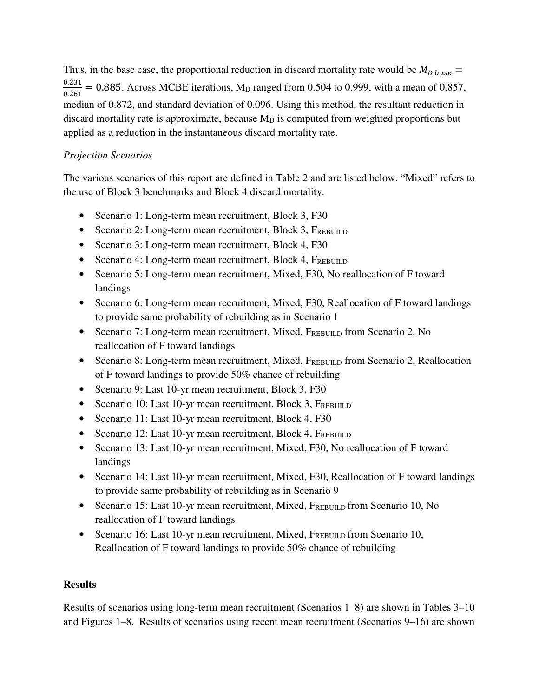Thus, in the base case, the proportional reduction in discard mortality rate would be  $M_{D,base}$  = 0.231  $\frac{0.251}{0.261}$  = 0.885. Across MCBE iterations, M<sub>D</sub> ranged from 0.504 to 0.999, with a mean of 0.857, median of 0.872, and standard deviation of 0.096. Using this method, the resultant reduction in discard mortality rate is approximate, because  $M<sub>D</sub>$  is computed from weighted proportions but applied as a reduction in the instantaneous discard mortality rate.

# *Projection Scenarios*

The various scenarios of this report are defined in Table 2 and are listed below. "Mixed" refers to the use of Block 3 benchmarks and Block 4 discard mortality.

- Scenario 1: Long-term mean recruitment, Block 3, F30
- Scenario 2: Long-term mean recruitment, Block 3, FREBUILD
- Scenario 3: Long-term mean recruitment, Block 4, F30
- Scenario 4: Long-term mean recruitment, Block 4, FREBUILD
- Scenario 5: Long-term mean recruitment, Mixed, F30, No reallocation of F toward landings
- Scenario 6: Long-term mean recruitment, Mixed, F30, Reallocation of F toward landings to provide same probability of rebuilding as in Scenario 1
- Scenario 7: Long-term mean recruitment, Mixed,  $F_{REBUND}$  from Scenario 2, No reallocation of F toward landings
- Scenario 8: Long-term mean recruitment, Mixed, FREBUILD from Scenario 2, Reallocation of F toward landings to provide 50% chance of rebuilding
- Scenario 9: Last 10-yr mean recruitment, Block 3, F30
- Scenario 10: Last 10-yr mean recruitment, Block 3, FREBUILD
- Scenario 11: Last 10-yr mean recruitment, Block 4, F30
- Scenario 12: Last 10-yr mean recruitment, Block 4, FREBUILD
- Scenario 13: Last 10-yr mean recruitment, Mixed, F30, No reallocation of F toward landings
- Scenario 14: Last 10-yr mean recruitment, Mixed, F30, Reallocation of F toward landings to provide same probability of rebuilding as in Scenario 9
- Scenario 15: Last 10-yr mean recruitment, Mixed, FREBUILD from Scenario 10, No reallocation of F toward landings
- Scenario 16: Last 10-yr mean recruitment, Mixed,  $F_{REBULD}$  from Scenario 10, Reallocation of F toward landings to provide 50% chance of rebuilding

#### **Results**

Results of scenarios using long-term mean recruitment (Scenarios 1‒8) are shown in Tables 3–10 and Figures 1–8. Results of scenarios using recent mean recruitment (Scenarios 9–16) are shown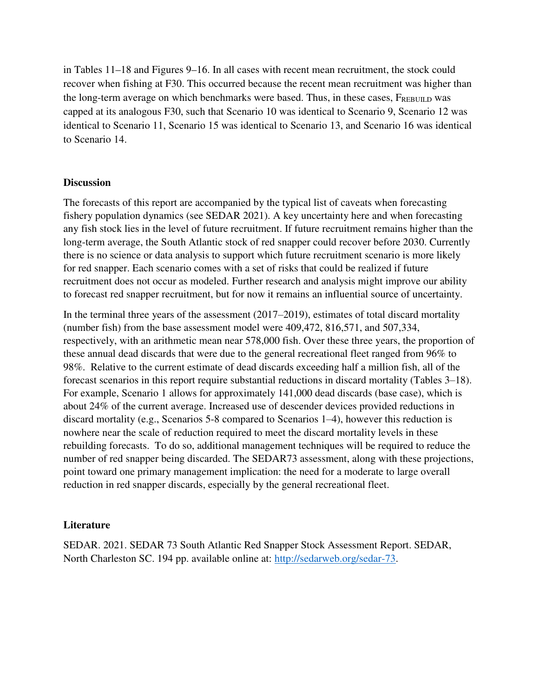in Tables 11–18 and Figures 9–16. In all cases with recent mean recruitment, the stock could recover when fishing at F30. This occurred because the recent mean recruitment was higher than the long-term average on which benchmarks were based. Thus, in these cases,  $F_{REBUM,D}$  was capped at its analogous F30, such that Scenario 10 was identical to Scenario 9, Scenario 12 was identical to Scenario 11, Scenario 15 was identical to Scenario 13, and Scenario 16 was identical to Scenario 14.

#### **Discussion**

The forecasts of this report are accompanied by the typical list of caveats when forecasting fishery population dynamics (see SEDAR 2021). A key uncertainty here and when forecasting any fish stock lies in the level of future recruitment. If future recruitment remains higher than the long-term average, the South Atlantic stock of red snapper could recover before 2030. Currently there is no science or data analysis to support which future recruitment scenario is more likely for red snapper. Each scenario comes with a set of risks that could be realized if future recruitment does not occur as modeled. Further research and analysis might improve our ability to forecast red snapper recruitment, but for now it remains an influential source of uncertainty.

In the terminal three years of the assessment  $(2017–2019)$ , estimates of total discard mortality (number fish) from the base assessment model were 409,472, 816,571, and 507,334, respectively, with an arithmetic mean near 578,000 fish. Over these three years, the proportion of these annual dead discards that were due to the general recreational fleet ranged from 96% to 98%. Relative to the current estimate of dead discards exceeding half a million fish, all of the forecast scenarios in this report require substantial reductions in discard mortality (Tables 3–18). For example, Scenario 1 allows for approximately 141,000 dead discards (base case), which is about 24% of the current average. Increased use of descender devices provided reductions in discard mortality (e.g., Scenarios  $5-8$  compared to Scenarios  $1-4$ ), however this reduction is nowhere near the scale of reduction required to meet the discard mortality levels in these rebuilding forecasts. To do so, additional management techniques will be required to reduce the number of red snapper being discarded. The SEDAR73 assessment, along with these projections, point toward one primary management implication: the need for a moderate to large overall reduction in red snapper discards, especially by the general recreational fleet.

#### **Literature**

SEDAR. 2021. SEDAR 73 South Atlantic Red Snapper Stock Assessment Report. SEDAR, North Charleston SC. 194 pp. available online at: http://sedarweb.org/sedar-73.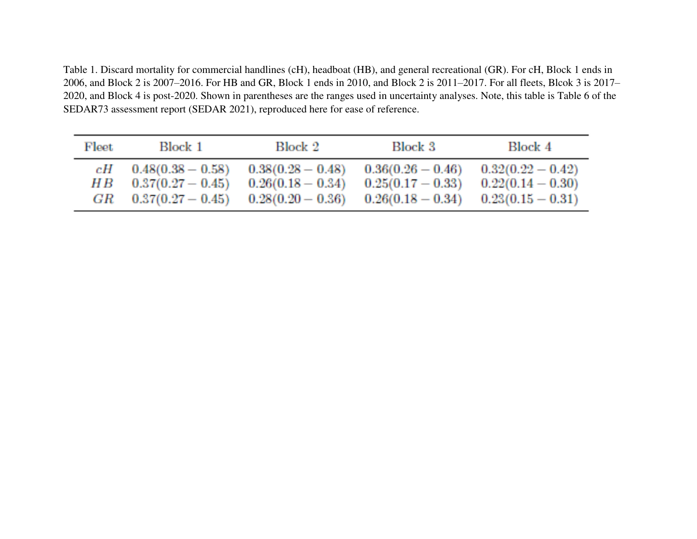Table 1. Discard mortality for commercial handlines (cH), headboat (HB), and general recreational (GR). For cH, Block 1 ends in 2006, and Block 2 is 2007–2016. For HB and GR, Block 1 ends in 2010, and Block 2 is 2011–2017. For all fleets, Blcok 3 is 2017– 2020, and Block 4 is post-2020. Shown in parentheses are the ranges used in uncertainty analyses. Note, this table is Table 6 of the SEDAR73 assessment report (SEDAR 2021), reproduced here for ease of reference.

| Fleet | Block 1             | Block 2             | Block 3           | Block 4             |
|-------|---------------------|---------------------|-------------------|---------------------|
| cН    | $0.48(0.38 - 0.58)$ | $0.38(0.28 - 0.48)$ | $0.36(0.26-0.46)$ | $0.32(0.22 - 0.42)$ |
| HВ    | $0.37(0.27 - 0.45)$ | $0.26(0.18-0.34)$   | $0.25(0.17-0.33)$ | $0.22(0.14-0.30)$   |
| GR    | $0.37(0.27 - 0.45)$ | $0.28(0.20 - 0.36)$ | $0.26(0.18-0.34)$ | $0.23(0.15-0.31)$   |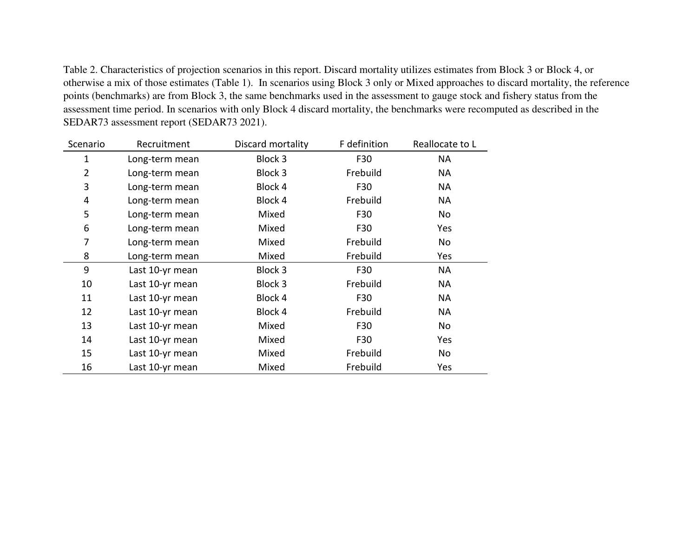Table 2. Characteristics of projection scenarios in this report. Discard mortality utilizes estimates from Block 3 or Block 4, or otherwise a mix of those estimates (Table 1). In scenarios using Block 3 only or Mixed approaches to discard mortality, the reference points (benchmarks) are from Block 3, the same benchmarks used in the assessment to gauge stock and fishery status from the assessment time period. In scenarios with only Block 4 discard mortality, the benchmarks were recomputed as described in the SEDAR73 assessment report (SEDAR73 2021).

| Scenario       | Recruitment     | Discard mortality | F definition | Reallocate to L |
|----------------|-----------------|-------------------|--------------|-----------------|
| 1              | Long-term mean  | Block 3           | F30          | NA              |
| $\overline{2}$ | Long-term mean  | Block 3           | Frebuild     | <b>NA</b>       |
| 3              | Long-term mean  | Block 4           | F30          | <b>NA</b>       |
| 4              | Long-term mean  | Block 4           | Frebuild     | NА              |
| 5              | Long-term mean  | Mixed             | F30          | No              |
| 6              | Long-term mean  | Mixed             | F30          | Yes             |
| 7              | Long-term mean  | Mixed             | Frebuild     | No              |
| 8              | Long-term mean  | Mixed             | Frebuild     | Yes             |
| 9              | Last 10-yr mean | Block 3           | F30          | <b>NA</b>       |
| 10             | Last 10-yr mean | Block 3           | Frebuild     | NА              |
| 11             | Last 10-yr mean | Block 4           | F30          | <b>NA</b>       |
| 12             | Last 10-yr mean | Block 4           | Frebuild     | NA              |
| 13             | Last 10-yr mean | Mixed             | F30          | No              |
| 14             | Last 10-yr mean | Mixed             | F30          | Yes             |
| 15             | Last 10-yr mean | Mixed             | Frebuild     | No              |
| 16             | Last 10-yr mean | Mixed             | Frebuild     | Yes             |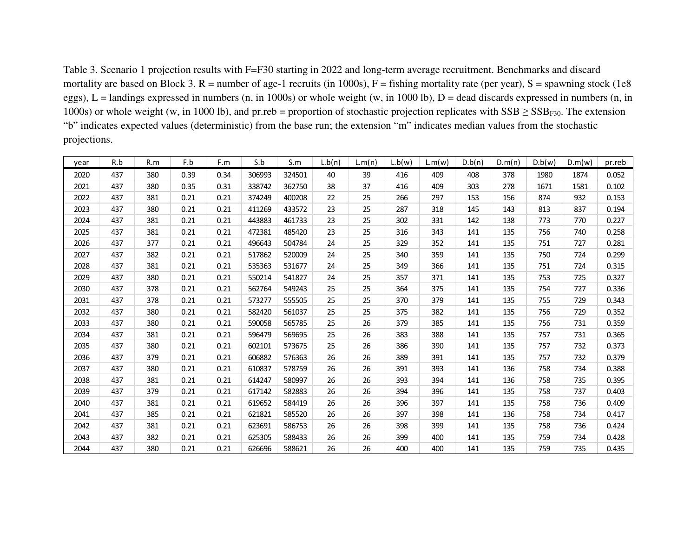Table 3. Scenario 1 projection results with F=F30 starting in 2022 and long-term average recruitment. Benchmarks and discard mortality are based on Block 3.  $R =$  number of age-1 recruits (in 1000s),  $F =$  fishing mortality rate (per year),  $S =$  spawning stock (1e8 eggs),  $L =$  landings expressed in numbers (n, in 1000s) or whole weight (w, in 1000 lb),  $D =$  dead discards expressed in numbers (n, in 1000s) or whole weight (w, in 1000 lb), and pr.reb = proportion of stochastic projection replicates with  $SSB \geq SSB_{F30}$ . The extension "b" indicates expected values (deterministic) from the base run; the extension "m" indicates median values from the stochastic projections.

| year | R.b | R.m | F.b  | F.m  | S.b    | S.m    | L.b(n) | L.m(n) | L.b(w) | L.m(w) | D.b(n) | D.m(n) | D.b(w) | D.m(w) | pr.reb |
|------|-----|-----|------|------|--------|--------|--------|--------|--------|--------|--------|--------|--------|--------|--------|
| 2020 | 437 | 380 | 0.39 | 0.34 | 306993 | 324501 | 40     | 39     | 416    | 409    | 408    | 378    | 1980   | 1874   | 0.052  |
| 2021 | 437 | 380 | 0.35 | 0.31 | 338742 | 362750 | 38     | 37     | 416    | 409    | 303    | 278    | 1671   | 1581   | 0.102  |
| 2022 | 437 | 381 | 0.21 | 0.21 | 374249 | 400208 | 22     | 25     | 266    | 297    | 153    | 156    | 874    | 932    | 0.153  |
| 2023 | 437 | 380 | 0.21 | 0.21 | 411269 | 433572 | 23     | 25     | 287    | 318    | 145    | 143    | 813    | 837    | 0.194  |
| 2024 | 437 | 381 | 0.21 | 0.21 | 443883 | 461733 | 23     | 25     | 302    | 331    | 142    | 138    | 773    | 770    | 0.227  |
| 2025 | 437 | 381 | 0.21 | 0.21 | 472381 | 485420 | 23     | 25     | 316    | 343    | 141    | 135    | 756    | 740    | 0.258  |
| 2026 | 437 | 377 | 0.21 | 0.21 | 496643 | 504784 | 24     | 25     | 329    | 352    | 141    | 135    | 751    | 727    | 0.281  |
| 2027 | 437 | 382 | 0.21 | 0.21 | 517862 | 520009 | 24     | 25     | 340    | 359    | 141    | 135    | 750    | 724    | 0.299  |
| 2028 | 437 | 381 | 0.21 | 0.21 | 535363 | 531677 | 24     | 25     | 349    | 366    | 141    | 135    | 751    | 724    | 0.315  |
| 2029 | 437 | 380 | 0.21 | 0.21 | 550214 | 541827 | 24     | 25     | 357    | 371    | 141    | 135    | 753    | 725    | 0.327  |
| 2030 | 437 | 378 | 0.21 | 0.21 | 562764 | 549243 | 25     | 25     | 364    | 375    | 141    | 135    | 754    | 727    | 0.336  |
| 2031 | 437 | 378 | 0.21 | 0.21 | 573277 | 555505 | 25     | 25     | 370    | 379    | 141    | 135    | 755    | 729    | 0.343  |
| 2032 | 437 | 380 | 0.21 | 0.21 | 582420 | 561037 | 25     | 25     | 375    | 382    | 141    | 135    | 756    | 729    | 0.352  |
| 2033 | 437 | 380 | 0.21 | 0.21 | 590058 | 565785 | 25     | 26     | 379    | 385    | 141    | 135    | 756    | 731    | 0.359  |
| 2034 | 437 | 381 | 0.21 | 0.21 | 596479 | 569695 | 25     | 26     | 383    | 388    | 141    | 135    | 757    | 731    | 0.365  |
| 2035 | 437 | 380 | 0.21 | 0.21 | 602101 | 573675 | 25     | 26     | 386    | 390    | 141    | 135    | 757    | 732    | 0.373  |
| 2036 | 437 | 379 | 0.21 | 0.21 | 606882 | 576363 | 26     | 26     | 389    | 391    | 141    | 135    | 757    | 732    | 0.379  |
| 2037 | 437 | 380 | 0.21 | 0.21 | 610837 | 578759 | 26     | 26     | 391    | 393    | 141    | 136    | 758    | 734    | 0.388  |
| 2038 | 437 | 381 | 0.21 | 0.21 | 614247 | 580997 | 26     | 26     | 393    | 394    | 141    | 136    | 758    | 735    | 0.395  |
| 2039 | 437 | 379 | 0.21 | 0.21 | 617142 | 582883 | 26     | 26     | 394    | 396    | 141    | 135    | 758    | 737    | 0.403  |
| 2040 | 437 | 381 | 0.21 | 0.21 | 619652 | 584419 | 26     | 26     | 396    | 397    | 141    | 135    | 758    | 736    | 0.409  |
| 2041 | 437 | 385 | 0.21 | 0.21 | 621821 | 585520 | 26     | 26     | 397    | 398    | 141    | 136    | 758    | 734    | 0.417  |
| 2042 | 437 | 381 | 0.21 | 0.21 | 623691 | 586753 | 26     | 26     | 398    | 399    | 141    | 135    | 758    | 736    | 0.424  |
| 2043 | 437 | 382 | 0.21 | 0.21 | 625305 | 588433 | 26     | 26     | 399    | 400    | 141    | 135    | 759    | 734    | 0.428  |
| 2044 | 437 | 380 | 0.21 | 0.21 | 626696 | 588621 | 26     | 26     | 400    | 400    | 141    | 135    | 759    | 735    | 0.435  |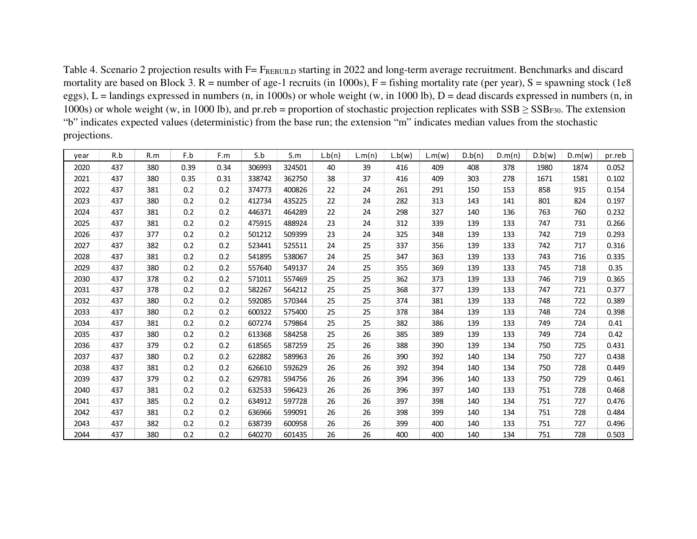Table 4. Scenario 2 projection results with F= FREBUILD starting in 2022 and long-term average recruitment. Benchmarks and discard mortality are based on Block 3.  $R =$  number of age-1 recruits (in 1000s),  $F =$  fishing mortality rate (per year),  $S =$  spawning stock (1e8 eggs),  $L =$  landings expressed in numbers (n, in 1000s) or whole weight (w, in 1000 lb),  $D =$  dead discards expressed in numbers (n, in 1000s) or whole weight (w, in 1000 lb), and pr.reb = proportion of stochastic projection replicates with  $SSB \geq SSB_{F30}$ . The extension "b" indicates expected values (deterministic) from the base run; the extension "m" indicates median values from the stochastic projections.

| year | R.b | R.m | F.b  | F.m  | S.b    | S.m    | L.b(n) | L.m(n) | L.b(w) | L.m(w) | D.b(n) | D.m(n) | D.b(w) | D.m(w) | pr.reb |
|------|-----|-----|------|------|--------|--------|--------|--------|--------|--------|--------|--------|--------|--------|--------|
| 2020 | 437 | 380 | 0.39 | 0.34 | 306993 | 324501 | 40     | 39     | 416    | 409    | 408    | 378    | 1980   | 1874   | 0.052  |
| 2021 | 437 | 380 | 0.35 | 0.31 | 338742 | 362750 | 38     | 37     | 416    | 409    | 303    | 278    | 1671   | 1581   | 0.102  |
| 2022 | 437 | 381 | 0.2  | 0.2  | 374773 | 400826 | 22     | 24     | 261    | 291    | 150    | 153    | 858    | 915    | 0.154  |
| 2023 | 437 | 380 | 0.2  | 0.2  | 412734 | 435225 | 22     | 24     | 282    | 313    | 143    | 141    | 801    | 824    | 0.197  |
| 2024 | 437 | 381 | 0.2  | 0.2  | 446371 | 464289 | 22     | 24     | 298    | 327    | 140    | 136    | 763    | 760    | 0.232  |
| 2025 | 437 | 381 | 0.2  | 0.2  | 475915 | 488924 | 23     | 24     | 312    | 339    | 139    | 133    | 747    | 731    | 0.266  |
| 2026 | 437 | 377 | 0.2  | 0.2  | 501212 | 509399 | 23     | 24     | 325    | 348    | 139    | 133    | 742    | 719    | 0.293  |
| 2027 | 437 | 382 | 0.2  | 0.2  | 523441 | 525511 | 24     | 25     | 337    | 356    | 139    | 133    | 742    | 717    | 0.316  |
| 2028 | 437 | 381 | 0.2  | 0.2  | 541895 | 538067 | 24     | 25     | 347    | 363    | 139    | 133    | 743    | 716    | 0.335  |
| 2029 | 437 | 380 | 0.2  | 0.2  | 557640 | 549137 | 24     | 25     | 355    | 369    | 139    | 133    | 745    | 718    | 0.35   |
| 2030 | 437 | 378 | 0.2  | 0.2  | 571011 | 557469 | 25     | 25     | 362    | 373    | 139    | 133    | 746    | 719    | 0.365  |
| 2031 | 437 | 378 | 0.2  | 0.2  | 582267 | 564212 | 25     | 25     | 368    | 377    | 139    | 133    | 747    | 721    | 0.377  |
| 2032 | 437 | 380 | 0.2  | 0.2  | 592085 | 570344 | 25     | 25     | 374    | 381    | 139    | 133    | 748    | 722    | 0.389  |
| 2033 | 437 | 380 | 0.2  | 0.2  | 600322 | 575400 | 25     | 25     | 378    | 384    | 139    | 133    | 748    | 724    | 0.398  |
| 2034 | 437 | 381 | 0.2  | 0.2  | 607274 | 579864 | 25     | 25     | 382    | 386    | 139    | 133    | 749    | 724    | 0.41   |
| 2035 | 437 | 380 | 0.2  | 0.2  | 613368 | 584258 | 25     | 26     | 385    | 389    | 139    | 133    | 749    | 724    | 0.42   |
| 2036 | 437 | 379 | 0.2  | 0.2  | 618565 | 587259 | 25     | 26     | 388    | 390    | 139    | 134    | 750    | 725    | 0.431  |
| 2037 | 437 | 380 | 0.2  | 0.2  | 622882 | 589963 | 26     | 26     | 390    | 392    | 140    | 134    | 750    | 727    | 0.438  |
| 2038 | 437 | 381 | 0.2  | 0.2  | 626610 | 592629 | 26     | 26     | 392    | 394    | 140    | 134    | 750    | 728    | 0.449  |
| 2039 | 437 | 379 | 0.2  | 0.2  | 629781 | 594756 | 26     | 26     | 394    | 396    | 140    | 133    | 750    | 729    | 0.461  |
| 2040 | 437 | 381 | 0.2  | 0.2  | 632533 | 596423 | 26     | 26     | 396    | 397    | 140    | 133    | 751    | 728    | 0.468  |
| 2041 | 437 | 385 | 0.2  | 0.2  | 634912 | 597728 | 26     | 26     | 397    | 398    | 140    | 134    | 751    | 727    | 0.476  |
| 2042 | 437 | 381 | 0.2  | 0.2  | 636966 | 599091 | 26     | 26     | 398    | 399    | 140    | 134    | 751    | 728    | 0.484  |
| 2043 | 437 | 382 | 0.2  | 0.2  | 638739 | 600958 | 26     | 26     | 399    | 400    | 140    | 133    | 751    | 727    | 0.496  |
| 2044 | 437 | 380 | 0.2  | 0.2  | 640270 | 601435 | 26     | 26     | 400    | 400    | 140    | 134    | 751    | 728    | 0.503  |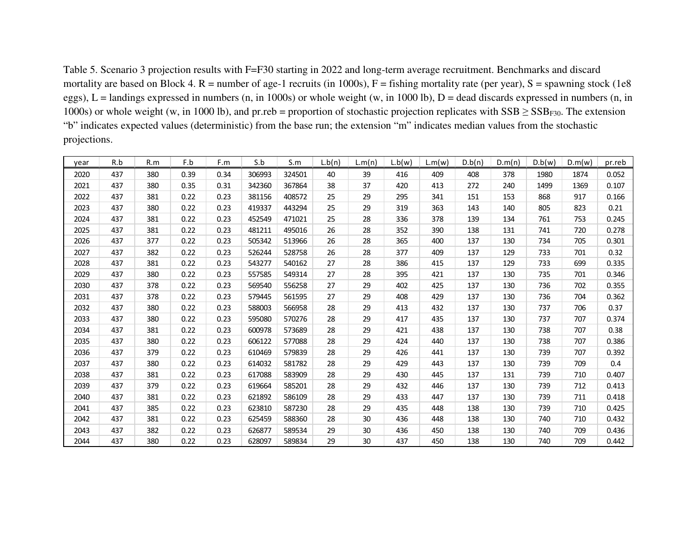Table 5. Scenario 3 projection results with F=F30 starting in 2022 and long-term average recruitment. Benchmarks and discard mortality are based on Block 4.  $R =$  number of age-1 recruits (in 1000s),  $F =$  fishing mortality rate (per year),  $S =$  spawning stock (1e8 eggs),  $L =$  landings expressed in numbers (n, in 1000s) or whole weight (w, in 1000 lb),  $D =$  dead discards expressed in numbers (n, in 1000s) or whole weight (w, in 1000 lb), and pr.reb = proportion of stochastic projection replicates with  $SSB \geq SSB_{F30}$ . The extension "b" indicates expected values (deterministic) from the base run; the extension "m" indicates median values from the stochastic projections.

| year | R.b | R.m | F.b  | F.m  | S.b    | S.m    | L.b(n) | L.m(n) | L.b(w) | L.m(w) | D.b(n) | D.m(n) | D.b(w) | D.m(w) | pr.reb |
|------|-----|-----|------|------|--------|--------|--------|--------|--------|--------|--------|--------|--------|--------|--------|
| 2020 | 437 | 380 | 0.39 | 0.34 | 306993 | 324501 | 40     | 39     | 416    | 409    | 408    | 378    | 1980   | 1874   | 0.052  |
| 2021 | 437 | 380 | 0.35 | 0.31 | 342360 | 367864 | 38     | 37     | 420    | 413    | 272    | 240    | 1499   | 1369   | 0.107  |
| 2022 | 437 | 381 | 0.22 | 0.23 | 381156 | 408572 | 25     | 29     | 295    | 341    | 151    | 153    | 868    | 917    | 0.166  |
| 2023 | 437 | 380 | 0.22 | 0.23 | 419337 | 443294 | 25     | 29     | 319    | 363    | 143    | 140    | 805    | 823    | 0.21   |
| 2024 | 437 | 381 | 0.22 | 0.23 | 452549 | 471021 | 25     | 28     | 336    | 378    | 139    | 134    | 761    | 753    | 0.245  |
| 2025 | 437 | 381 | 0.22 | 0.23 | 481211 | 495016 | 26     | 28     | 352    | 390    | 138    | 131    | 741    | 720    | 0.278  |
| 2026 | 437 | 377 | 0.22 | 0.23 | 505342 | 513966 | 26     | 28     | 365    | 400    | 137    | 130    | 734    | 705    | 0.301  |
| 2027 | 437 | 382 | 0.22 | 0.23 | 526244 | 528758 | 26     | 28     | 377    | 409    | 137    | 129    | 733    | 701    | 0.32   |
| 2028 | 437 | 381 | 0.22 | 0.23 | 543277 | 540162 | 27     | 28     | 386    | 415    | 137    | 129    | 733    | 699    | 0.335  |
| 2029 | 437 | 380 | 0.22 | 0.23 | 557585 | 549314 | 27     | 28     | 395    | 421    | 137    | 130    | 735    | 701    | 0.346  |
| 2030 | 437 | 378 | 0.22 | 0.23 | 569540 | 556258 | 27     | 29     | 402    | 425    | 137    | 130    | 736    | 702    | 0.355  |
| 2031 | 437 | 378 | 0.22 | 0.23 | 579445 | 561595 | 27     | 29     | 408    | 429    | 137    | 130    | 736    | 704    | 0.362  |
| 2032 | 437 | 380 | 0.22 | 0.23 | 588003 | 566958 | 28     | 29     | 413    | 432    | 137    | 130    | 737    | 706    | 0.37   |
| 2033 | 437 | 380 | 0.22 | 0.23 | 595080 | 570276 | 28     | 29     | 417    | 435    | 137    | 130    | 737    | 707    | 0.374  |
| 2034 | 437 | 381 | 0.22 | 0.23 | 600978 | 573689 | 28     | 29     | 421    | 438    | 137    | 130    | 738    | 707    | 0.38   |
| 2035 | 437 | 380 | 0.22 | 0.23 | 606122 | 577088 | 28     | 29     | 424    | 440    | 137    | 130    | 738    | 707    | 0.386  |
| 2036 | 437 | 379 | 0.22 | 0.23 | 610469 | 579839 | 28     | 29     | 426    | 441    | 137    | 130    | 739    | 707    | 0.392  |
| 2037 | 437 | 380 | 0.22 | 0.23 | 614032 | 581782 | 28     | 29     | 429    | 443    | 137    | 130    | 739    | 709    | 0.4    |
| 2038 | 437 | 381 | 0.22 | 0.23 | 617088 | 583909 | 28     | 29     | 430    | 445    | 137    | 131    | 739    | 710    | 0.407  |
| 2039 | 437 | 379 | 0.22 | 0.23 | 619664 | 585201 | 28     | 29     | 432    | 446    | 137    | 130    | 739    | 712    | 0.413  |
| 2040 | 437 | 381 | 0.22 | 0.23 | 621892 | 586109 | 28     | 29     | 433    | 447    | 137    | 130    | 739    | 711    | 0.418  |
| 2041 | 437 | 385 | 0.22 | 0.23 | 623810 | 587230 | 28     | 29     | 435    | 448    | 138    | 130    | 739    | 710    | 0.425  |
| 2042 | 437 | 381 | 0.22 | 0.23 | 625459 | 588360 | 28     | 30     | 436    | 448    | 138    | 130    | 740    | 710    | 0.432  |
| 2043 | 437 | 382 | 0.22 | 0.23 | 626877 | 589534 | 29     | 30     | 436    | 450    | 138    | 130    | 740    | 709    | 0.436  |
| 2044 | 437 | 380 | 0.22 | 0.23 | 628097 | 589834 | 29     | 30     | 437    | 450    | 138    | 130    | 740    | 709    | 0.442  |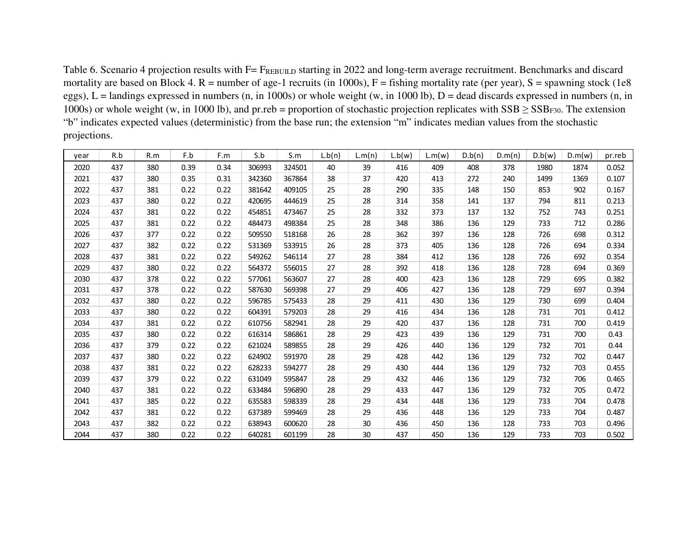| Table 6. Scenario 4 projection results with F= FREBUILD starting in 2022 and long-term average recruitment. Benchmarks and discard            |
|-----------------------------------------------------------------------------------------------------------------------------------------------|
| mortality are based on Block 4. R = number of age-1 recruits (in 1000s), F = fishing mortality rate (per year), S = spawning stock (1e8       |
| eggs), L = landings expressed in numbers (n, in 1000s) or whole weight (w, in 1000 lb), D = dead discards expressed in numbers (n, in         |
| 1000s) or whole weight (w, in 1000 lb), and pr.reb = proportion of stochastic projection replicates with $SSB \geq SSB_{F30}$ . The extension |
| "b" indicates expected values (deterministic) from the base run; the extension "m" indicates median values from the stochastic                |
| projections.                                                                                                                                  |

| year | R.b | R.m | F.b  | F.m  | S.b    | S.m    | L.b(n) | L.m(n) | L.b(w) | L.m(w) | D.b(n) | D.m(n) | D.b(w) | D.m(w) | pr.reb |
|------|-----|-----|------|------|--------|--------|--------|--------|--------|--------|--------|--------|--------|--------|--------|
| 2020 | 437 | 380 | 0.39 | 0.34 | 306993 | 324501 | 40     | 39     | 416    | 409    | 408    | 378    | 1980   | 1874   | 0.052  |
| 2021 | 437 | 380 | 0.35 | 0.31 | 342360 | 367864 | 38     | 37     | 420    | 413    | 272    | 240    | 1499   | 1369   | 0.107  |
| 2022 | 437 | 381 | 0.22 | 0.22 | 381642 | 409105 | 25     | 28     | 290    | 335    | 148    | 150    | 853    | 902    | 0.167  |
| 2023 | 437 | 380 | 0.22 | 0.22 | 420695 | 444619 | 25     | 28     | 314    | 358    | 141    | 137    | 794    | 811    | 0.213  |
| 2024 | 437 | 381 | 0.22 | 0.22 | 454851 | 473467 | 25     | 28     | 332    | 373    | 137    | 132    | 752    | 743    | 0.251  |
| 2025 | 437 | 381 | 0.22 | 0.22 | 484473 | 498384 | 25     | 28     | 348    | 386    | 136    | 129    | 733    | 712    | 0.286  |
| 2026 | 437 | 377 | 0.22 | 0.22 | 509550 | 518168 | 26     | 28     | 362    | 397    | 136    | 128    | 726    | 698    | 0.312  |
| 2027 | 437 | 382 | 0.22 | 0.22 | 531369 | 533915 | 26     | 28     | 373    | 405    | 136    | 128    | 726    | 694    | 0.334  |
| 2028 | 437 | 381 | 0.22 | 0.22 | 549262 | 546114 | 27     | 28     | 384    | 412    | 136    | 128    | 726    | 692    | 0.354  |
| 2029 | 437 | 380 | 0.22 | 0.22 | 564372 | 556015 | 27     | 28     | 392    | 418    | 136    | 128    | 728    | 694    | 0.369  |
| 2030 | 437 | 378 | 0.22 | 0.22 | 577061 | 563607 | 27     | 28     | 400    | 423    | 136    | 128    | 729    | 695    | 0.382  |
| 2031 | 437 | 378 | 0.22 | 0.22 | 587630 | 569398 | 27     | 29     | 406    | 427    | 136    | 128    | 729    | 697    | 0.394  |
| 2032 | 437 | 380 | 0.22 | 0.22 | 596785 | 575433 | 28     | 29     | 411    | 430    | 136    | 129    | 730    | 699    | 0.404  |
| 2033 | 437 | 380 | 0.22 | 0.22 | 604391 | 579203 | 28     | 29     | 416    | 434    | 136    | 128    | 731    | 701    | 0.412  |
| 2034 | 437 | 381 | 0.22 | 0.22 | 610756 | 582941 | 28     | 29     | 420    | 437    | 136    | 128    | 731    | 700    | 0.419  |
| 2035 | 437 | 380 | 0.22 | 0.22 | 616314 | 586861 | 28     | 29     | 423    | 439    | 136    | 129    | 731    | 700    | 0.43   |
| 2036 | 437 | 379 | 0.22 | 0.22 | 621024 | 589855 | 28     | 29     | 426    | 440    | 136    | 129    | 732    | 701    | 0.44   |
| 2037 | 437 | 380 | 0.22 | 0.22 | 624902 | 591970 | 28     | 29     | 428    | 442    | 136    | 129    | 732    | 702    | 0.447  |
| 2038 | 437 | 381 | 0.22 | 0.22 | 628233 | 594277 | 28     | 29     | 430    | 444    | 136    | 129    | 732    | 703    | 0.455  |
| 2039 | 437 | 379 | 0.22 | 0.22 | 631049 | 595847 | 28     | 29     | 432    | 446    | 136    | 129    | 732    | 706    | 0.465  |
| 2040 | 437 | 381 | 0.22 | 0.22 | 633484 | 596890 | 28     | 29     | 433    | 447    | 136    | 129    | 732    | 705    | 0.472  |
| 2041 | 437 | 385 | 0.22 | 0.22 | 635583 | 598339 | 28     | 29     | 434    | 448    | 136    | 129    | 733    | 704    | 0.478  |
| 2042 | 437 | 381 | 0.22 | 0.22 | 637389 | 599469 | 28     | 29     | 436    | 448    | 136    | 129    | 733    | 704    | 0.487  |
| 2043 | 437 | 382 | 0.22 | 0.22 | 638943 | 600620 | 28     | 30     | 436    | 450    | 136    | 128    | 733    | 703    | 0.496  |
| 2044 | 437 | 380 | 0.22 | 0.22 | 640281 | 601199 | 28     | 30     | 437    | 450    | 136    | 129    | 733    | 703    | 0.502  |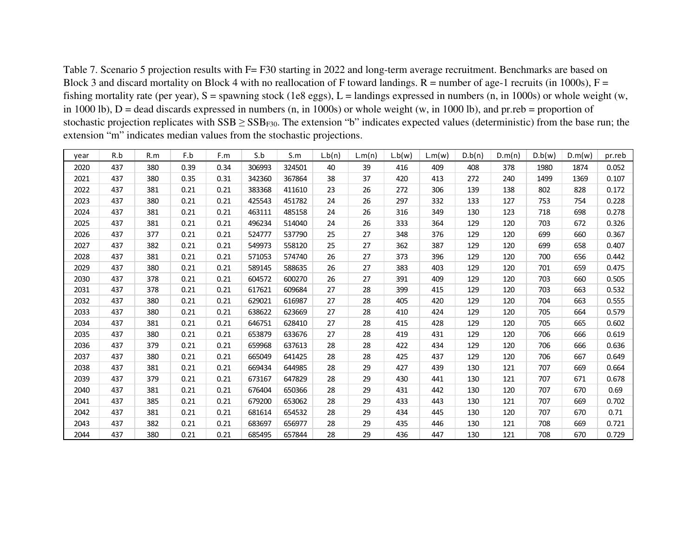Table 7. Scenario 5 projection results with F= F30 starting in 2022 and long-term average recruitment. Benchmarks are based on Block 3 and discard mortality on Block 4 with no reallocation of F toward landings.  $R =$  number of age-1 recruits (in 1000s),  $F =$ fishing mortality rate (per year),  $S =$  spawning stock (1e8 eggs),  $L =$  landings expressed in numbers (n, in 1000s) or whole weight (w, in 1000 lb),  $D =$  dead discards expressed in numbers (n, in 1000s) or whole weight (w, in 1000 lb), and pr.reb = proportion of stochastic projection replicates with  $SSB \geq SSB_{F30}$ . The extension "b" indicates expected values (deterministic) from the base run; the extension "m" indicates median values from the stochastic projections.

| year | R.b | R.m | F.b  | F.m  | S.b    | S.m    | L.b(n) | L.m(n) | L.b(w) | L.m(w) | D.b(n) | D.m(n) | D.b(w) | D.m(w) | pr.reb |
|------|-----|-----|------|------|--------|--------|--------|--------|--------|--------|--------|--------|--------|--------|--------|
| 2020 | 437 | 380 | 0.39 | 0.34 | 306993 | 324501 | 40     | 39     | 416    | 409    | 408    | 378    | 1980   | 1874   | 0.052  |
| 2021 | 437 | 380 | 0.35 | 0.31 | 342360 | 367864 | 38     | 37     | 420    | 413    | 272    | 240    | 1499   | 1369   | 0.107  |
| 2022 | 437 | 381 | 0.21 | 0.21 | 383368 | 411610 | 23     | 26     | 272    | 306    | 139    | 138    | 802    | 828    | 0.172  |
| 2023 | 437 | 380 | 0.21 | 0.21 | 425543 | 451782 | 24     | 26     | 297    | 332    | 133    | 127    | 753    | 754    | 0.228  |
| 2024 | 437 | 381 | 0.21 | 0.21 | 463111 | 485158 | 24     | 26     | 316    | 349    | 130    | 123    | 718    | 698    | 0.278  |
| 2025 | 437 | 381 | 0.21 | 0.21 | 496234 | 514040 | 24     | 26     | 333    | 364    | 129    | 120    | 703    | 672    | 0.326  |
| 2026 | 437 | 377 | 0.21 | 0.21 | 524777 | 537790 | 25     | 27     | 348    | 376    | 129    | 120    | 699    | 660    | 0.367  |
| 2027 | 437 | 382 | 0.21 | 0.21 | 549973 | 558120 | 25     | 27     | 362    | 387    | 129    | 120    | 699    | 658    | 0.407  |
| 2028 | 437 | 381 | 0.21 | 0.21 | 571053 | 574740 | 26     | 27     | 373    | 396    | 129    | 120    | 700    | 656    | 0.442  |
| 2029 | 437 | 380 | 0.21 | 0.21 | 589145 | 588635 | 26     | 27     | 383    | 403    | 129    | 120    | 701    | 659    | 0.475  |
| 2030 | 437 | 378 | 0.21 | 0.21 | 604572 | 600270 | 26     | 27     | 391    | 409    | 129    | 120    | 703    | 660    | 0.505  |
| 2031 | 437 | 378 | 0.21 | 0.21 | 617621 | 609684 | 27     | 28     | 399    | 415    | 129    | 120    | 703    | 663    | 0.532  |
| 2032 | 437 | 380 | 0.21 | 0.21 | 629021 | 616987 | 27     | 28     | 405    | 420    | 129    | 120    | 704    | 663    | 0.555  |
| 2033 | 437 | 380 | 0.21 | 0.21 | 638622 | 623669 | 27     | 28     | 410    | 424    | 129    | 120    | 705    | 664    | 0.579  |
| 2034 | 437 | 381 | 0.21 | 0.21 | 646751 | 628410 | 27     | 28     | 415    | 428    | 129    | 120    | 705    | 665    | 0.602  |
| 2035 | 437 | 380 | 0.21 | 0.21 | 653879 | 633676 | 27     | 28     | 419    | 431    | 129    | 120    | 706    | 666    | 0.619  |
| 2036 | 437 | 379 | 0.21 | 0.21 | 659968 | 637613 | 28     | 28     | 422    | 434    | 129    | 120    | 706    | 666    | 0.636  |
| 2037 | 437 | 380 | 0.21 | 0.21 | 665049 | 641425 | 28     | 28     | 425    | 437    | 129    | 120    | 706    | 667    | 0.649  |
| 2038 | 437 | 381 | 0.21 | 0.21 | 669434 | 644985 | 28     | 29     | 427    | 439    | 130    | 121    | 707    | 669    | 0.664  |
| 2039 | 437 | 379 | 0.21 | 0.21 | 673167 | 647829 | 28     | 29     | 430    | 441    | 130    | 121    | 707    | 671    | 0.678  |
| 2040 | 437 | 381 | 0.21 | 0.21 | 676404 | 650366 | 28     | 29     | 431    | 442    | 130    | 120    | 707    | 670    | 0.69   |
| 2041 | 437 | 385 | 0.21 | 0.21 | 679200 | 653062 | 28     | 29     | 433    | 443    | 130    | 121    | 707    | 669    | 0.702  |
| 2042 | 437 | 381 | 0.21 | 0.21 | 681614 | 654532 | 28     | 29     | 434    | 445    | 130    | 120    | 707    | 670    | 0.71   |
| 2043 | 437 | 382 | 0.21 | 0.21 | 683697 | 656977 | 28     | 29     | 435    | 446    | 130    | 121    | 708    | 669    | 0.721  |
| 2044 | 437 | 380 | 0.21 | 0.21 | 685495 | 657844 | 28     | 29     | 436    | 447    | 130    | 121    | 708    | 670    | 0.729  |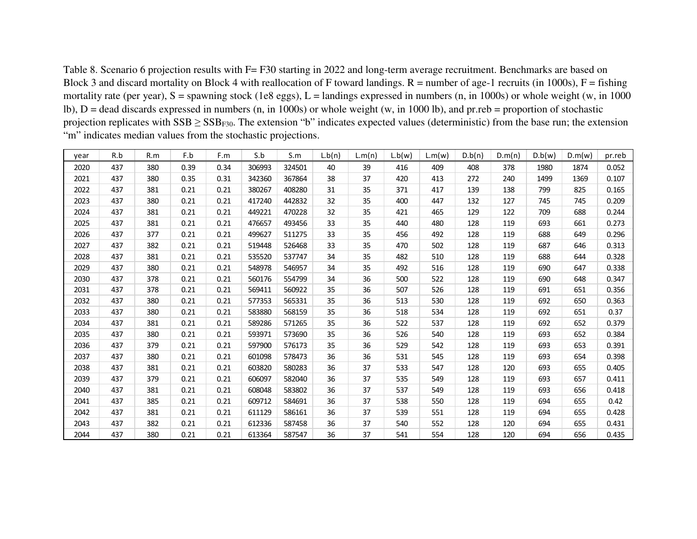Table 8. Scenario 6 projection results with F= F30 starting in 2022 and long-term average recruitment. Benchmarks are based on Block 3 and discard mortality on Block 4 with reallocation of F toward landings.  $R =$  number of age-1 recruits (in 1000s),  $F =$  fishing mortality rate (per year),  $S =$  spawning stock (1e8 eggs),  $L =$  landings expressed in numbers (n, in 1000s) or whole weight (w, in 1000 lb), D = dead discards expressed in numbers (n, in 1000s) or whole weight (w, in 1000 lb), and pr.reb = proportion of stochastic projection replicates with  $SSB \geq SSB_{F30}$ . The extension "b" indicates expected values (deterministic) from the base run; the extension "m" indicates median values from the stochastic projections.

| year | R.b | R.m | F.b  | F.m  | S.b    | S.m    | L.b(n) | L.m(n) | L.b(w) | L.m(w) | D.b(n) | D.m(n) | D.b(w) | D.m(w) | pr.reb |
|------|-----|-----|------|------|--------|--------|--------|--------|--------|--------|--------|--------|--------|--------|--------|
| 2020 | 437 | 380 | 0.39 | 0.34 | 306993 | 324501 | 40     | 39     | 416    | 409    | 408    | 378    | 1980   | 1874   | 0.052  |
| 2021 | 437 | 380 | 0.35 | 0.31 | 342360 | 367864 | 38     | 37     | 420    | 413    | 272    | 240    | 1499   | 1369   | 0.107  |
| 2022 | 437 | 381 | 0.21 | 0.21 | 380267 | 408280 | 31     | 35     | 371    | 417    | 139    | 138    | 799    | 825    | 0.165  |
| 2023 | 437 | 380 | 0.21 | 0.21 | 417240 | 442832 | 32     | 35     | 400    | 447    | 132    | 127    | 745    | 745    | 0.209  |
| 2024 | 437 | 381 | 0.21 | 0.21 | 449221 | 470228 | 32     | 35     | 421    | 465    | 129    | 122    | 709    | 688    | 0.244  |
| 2025 | 437 | 381 | 0.21 | 0.21 | 476657 | 493456 | 33     | 35     | 440    | 480    | 128    | 119    | 693    | 661    | 0.273  |
| 2026 | 437 | 377 | 0.21 | 0.21 | 499627 | 511275 | 33     | 35     | 456    | 492    | 128    | 119    | 688    | 649    | 0.296  |
| 2027 | 437 | 382 | 0.21 | 0.21 | 519448 | 526468 | 33     | 35     | 470    | 502    | 128    | 119    | 687    | 646    | 0.313  |
| 2028 | 437 | 381 | 0.21 | 0.21 | 535520 | 537747 | 34     | 35     | 482    | 510    | 128    | 119    | 688    | 644    | 0.328  |
| 2029 | 437 | 380 | 0.21 | 0.21 | 548978 | 546957 | 34     | 35     | 492    | 516    | 128    | 119    | 690    | 647    | 0.338  |
| 2030 | 437 | 378 | 0.21 | 0.21 | 560176 | 554799 | 34     | 36     | 500    | 522    | 128    | 119    | 690    | 648    | 0.347  |
| 2031 | 437 | 378 | 0.21 | 0.21 | 569411 | 560922 | 35     | 36     | 507    | 526    | 128    | 119    | 691    | 651    | 0.356  |
| 2032 | 437 | 380 | 0.21 | 0.21 | 577353 | 565331 | 35     | 36     | 513    | 530    | 128    | 119    | 692    | 650    | 0.363  |
| 2033 | 437 | 380 | 0.21 | 0.21 | 583880 | 568159 | 35     | 36     | 518    | 534    | 128    | 119    | 692    | 651    | 0.37   |
| 2034 | 437 | 381 | 0.21 | 0.21 | 589286 | 571265 | 35     | 36     | 522    | 537    | 128    | 119    | 692    | 652    | 0.379  |
| 2035 | 437 | 380 | 0.21 | 0.21 | 593971 | 573690 | 35     | 36     | 526    | 540    | 128    | 119    | 693    | 652    | 0.384  |
| 2036 | 437 | 379 | 0.21 | 0.21 | 597900 | 576173 | 35     | 36     | 529    | 542    | 128    | 119    | 693    | 653    | 0.391  |
| 2037 | 437 | 380 | 0.21 | 0.21 | 601098 | 578473 | 36     | 36     | 531    | 545    | 128    | 119    | 693    | 654    | 0.398  |
| 2038 | 437 | 381 | 0.21 | 0.21 | 603820 | 580283 | 36     | 37     | 533    | 547    | 128    | 120    | 693    | 655    | 0.405  |
| 2039 | 437 | 379 | 0.21 | 0.21 | 606097 | 582040 | 36     | 37     | 535    | 549    | 128    | 119    | 693    | 657    | 0.411  |
| 2040 | 437 | 381 | 0.21 | 0.21 | 608048 | 583802 | 36     | 37     | 537    | 549    | 128    | 119    | 693    | 656    | 0.418  |
| 2041 | 437 | 385 | 0.21 | 0.21 | 609712 | 584691 | 36     | 37     | 538    | 550    | 128    | 119    | 694    | 655    | 0.42   |
| 2042 | 437 | 381 | 0.21 | 0.21 | 611129 | 586161 | 36     | 37     | 539    | 551    | 128    | 119    | 694    | 655    | 0.428  |
| 2043 | 437 | 382 | 0.21 | 0.21 | 612336 | 587458 | 36     | 37     | 540    | 552    | 128    | 120    | 694    | 655    | 0.431  |
| 2044 | 437 | 380 | 0.21 | 0.21 | 613364 | 587547 | 36     | 37     | 541    | 554    | 128    | 120    | 694    | 656    | 0.435  |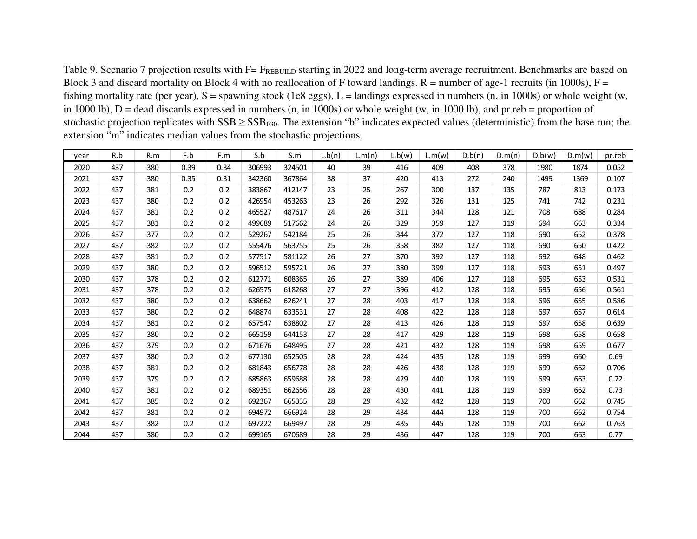Table 9. Scenario 7 projection results with F= FREBUILD starting in 2022 and long-term average recruitment. Benchmarks are based on Block 3 and discard mortality on Block 4 with no reallocation of F toward landings.  $R =$  number of age-1 recruits (in 1000s),  $F =$ fishing mortality rate (per year),  $S =$  spawning stock (1e8 eggs),  $L =$  landings expressed in numbers (n, in 1000s) or whole weight (w, in 1000 lb),  $D =$  dead discards expressed in numbers (n, in 1000s) or whole weight (w, in 1000 lb), and pr.reb = proportion of stochastic projection replicates with  $SSB \geq SSB_{F30}$ . The extension "b" indicates expected values (deterministic) from the base run; the extension "m" indicates median values from the stochastic projections.

| year | R.b | R.m | F.b  | F.m  | S.b    | S.m    | L.b(n) | L.m(n) | L.b(w) | L.m(w) | D.b(n) | D.m(n) | D.b(w) | D.m(w) | pr.reb |
|------|-----|-----|------|------|--------|--------|--------|--------|--------|--------|--------|--------|--------|--------|--------|
| 2020 | 437 | 380 | 0.39 | 0.34 | 306993 | 324501 | 40     | 39     | 416    | 409    | 408    | 378    | 1980   | 1874   | 0.052  |
| 2021 | 437 | 380 | 0.35 | 0.31 | 342360 | 367864 | 38     | 37     | 420    | 413    | 272    | 240    | 1499   | 1369   | 0.107  |
| 2022 | 437 | 381 | 0.2  | 0.2  | 383867 | 412147 | 23     | 25     | 267    | 300    | 137    | 135    | 787    | 813    | 0.173  |
| 2023 | 437 | 380 | 0.2  | 0.2  | 426954 | 453263 | 23     | 26     | 292    | 326    | 131    | 125    | 741    | 742    | 0.231  |
| 2024 | 437 | 381 | 0.2  | 0.2  | 465527 | 487617 | 24     | 26     | 311    | 344    | 128    | 121    | 708    | 688    | 0.284  |
| 2025 | 437 | 381 | 0.2  | 0.2  | 499689 | 517662 | 24     | 26     | 329    | 359    | 127    | 119    | 694    | 663    | 0.334  |
| 2026 | 437 | 377 | 0.2  | 0.2  | 529267 | 542184 | 25     | 26     | 344    | 372    | 127    | 118    | 690    | 652    | 0.378  |
| 2027 | 437 | 382 | 0.2  | 0.2  | 555476 | 563755 | 25     | 26     | 358    | 382    | 127    | 118    | 690    | 650    | 0.422  |
| 2028 | 437 | 381 | 0.2  | 0.2  | 577517 | 581122 | 26     | 27     | 370    | 392    | 127    | 118    | 692    | 648    | 0.462  |
| 2029 | 437 | 380 | 0.2  | 0.2  | 596512 | 595721 | 26     | 27     | 380    | 399    | 127    | 118    | 693    | 651    | 0.497  |
| 2030 | 437 | 378 | 0.2  | 0.2  | 612771 | 608365 | 26     | 27     | 389    | 406    | 127    | 118    | 695    | 653    | 0.531  |
| 2031 | 437 | 378 | 0.2  | 0.2  | 626575 | 618268 | 27     | 27     | 396    | 412    | 128    | 118    | 695    | 656    | 0.561  |
| 2032 | 437 | 380 | 0.2  | 0.2  | 638662 | 626241 | 27     | 28     | 403    | 417    | 128    | 118    | 696    | 655    | 0.586  |
| 2033 | 437 | 380 | 0.2  | 0.2  | 648874 | 633531 | 27     | 28     | 408    | 422    | 128    | 118    | 697    | 657    | 0.614  |
| 2034 | 437 | 381 | 0.2  | 0.2  | 657547 | 638802 | 27     | 28     | 413    | 426    | 128    | 119    | 697    | 658    | 0.639  |
| 2035 | 437 | 380 | 0.2  | 0.2  | 665159 | 644153 | 27     | 28     | 417    | 429    | 128    | 119    | 698    | 658    | 0.658  |
| 2036 | 437 | 379 | 0.2  | 0.2  | 671676 | 648495 | 27     | 28     | 421    | 432    | 128    | 119    | 698    | 659    | 0.677  |
| 2037 | 437 | 380 | 0.2  | 0.2  | 677130 | 652505 | 28     | 28     | 424    | 435    | 128    | 119    | 699    | 660    | 0.69   |
| 2038 | 437 | 381 | 0.2  | 0.2  | 681843 | 656778 | 28     | 28     | 426    | 438    | 128    | 119    | 699    | 662    | 0.706  |
| 2039 | 437 | 379 | 0.2  | 0.2  | 685863 | 659688 | 28     | 28     | 429    | 440    | 128    | 119    | 699    | 663    | 0.72   |
| 2040 | 437 | 381 | 0.2  | 0.2  | 689351 | 662656 | 28     | 28     | 430    | 441    | 128    | 119    | 699    | 662    | 0.73   |
| 2041 | 437 | 385 | 0.2  | 0.2  | 692367 | 665335 | 28     | 29     | 432    | 442    | 128    | 119    | 700    | 662    | 0.745  |
| 2042 | 437 | 381 | 0.2  | 0.2  | 694972 | 666924 | 28     | 29     | 434    | 444    | 128    | 119    | 700    | 662    | 0.754  |
| 2043 | 437 | 382 | 0.2  | 0.2  | 697222 | 669497 | 28     | 29     | 435    | 445    | 128    | 119    | 700    | 662    | 0.763  |
| 2044 | 437 | 380 | 0.2  | 0.2  | 699165 | 670689 | 28     | 29     | 436    | 447    | 128    | 119    | 700    | 663    | 0.77   |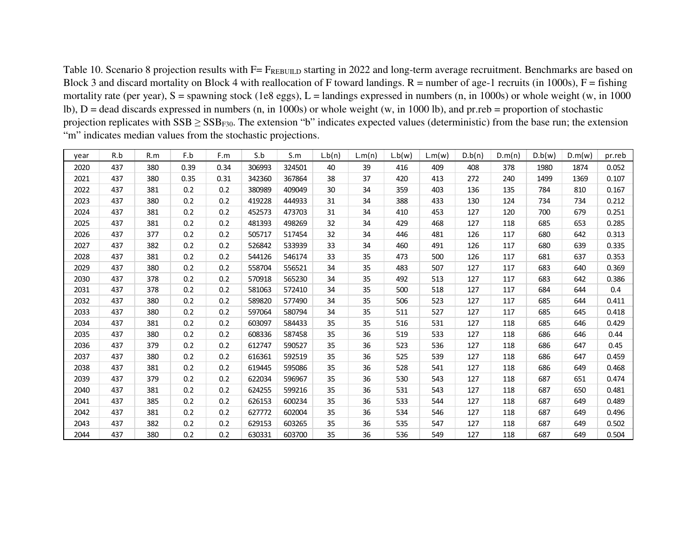Table 10. Scenario 8 projection results with F= FREBUILD starting in 2022 and long-term average recruitment. Benchmarks are based on Block 3 and discard mortality on Block 4 with reallocation of F toward landings.  $R =$  number of age-1 recruits (in 1000s),  $F =$  fishing mortality rate (per year),  $S =$  spawning stock (1e8 eggs),  $L =$  landings expressed in numbers (n, in 1000s) or whole weight (w, in 1000 lb), D = dead discards expressed in numbers (n, in 1000s) or whole weight (w, in 1000 lb), and pr.reb = proportion of stochastic projection replicates with  $SSB \geq SSB_{F30}$ . The extension "b" indicates expected values (deterministic) from the base run; the extension "m" indicates median values from the stochastic projections.

| year | R.b | R.m | F.b  | F.m  | S.b    | S.m    | L.b(n) | L.m(n) | L.b(w) | L.m(w) | D.b(n) | D.m(n) | D.b(w) | D.m(w) | pr.reb |
|------|-----|-----|------|------|--------|--------|--------|--------|--------|--------|--------|--------|--------|--------|--------|
| 2020 | 437 | 380 | 0.39 | 0.34 | 306993 | 324501 | 40     | 39     | 416    | 409    | 408    | 378    | 1980   | 1874   | 0.052  |
| 2021 | 437 | 380 | 0.35 | 0.31 | 342360 | 367864 | 38     | 37     | 420    | 413    | 272    | 240    | 1499   | 1369   | 0.107  |
| 2022 | 437 | 381 | 0.2  | 0.2  | 380989 | 409049 | 30     | 34     | 359    | 403    | 136    | 135    | 784    | 810    | 0.167  |
| 2023 | 437 | 380 | 0.2  | 0.2  | 419228 | 444933 | 31     | 34     | 388    | 433    | 130    | 124    | 734    | 734    | 0.212  |
| 2024 | 437 | 381 | 0.2  | 0.2  | 452573 | 473703 | 31     | 34     | 410    | 453    | 127    | 120    | 700    | 679    | 0.251  |
| 2025 | 437 | 381 | 0.2  | 0.2  | 481393 | 498269 | 32     | 34     | 429    | 468    | 127    | 118    | 685    | 653    | 0.285  |
| 2026 | 437 | 377 | 0.2  | 0.2  | 505717 | 517454 | 32     | 34     | 446    | 481    | 126    | 117    | 680    | 642    | 0.313  |
| 2027 | 437 | 382 | 0.2  | 0.2  | 526842 | 533939 | 33     | 34     | 460    | 491    | 126    | 117    | 680    | 639    | 0.335  |
| 2028 | 437 | 381 | 0.2  | 0.2  | 544126 | 546174 | 33     | 35     | 473    | 500    | 126    | 117    | 681    | 637    | 0.353  |
| 2029 | 437 | 380 | 0.2  | 0.2  | 558704 | 556521 | 34     | 35     | 483    | 507    | 127    | 117    | 683    | 640    | 0.369  |
| 2030 | 437 | 378 | 0.2  | 0.2  | 570918 | 565230 | 34     | 35     | 492    | 513    | 127    | 117    | 683    | 642    | 0.386  |
| 2031 | 437 | 378 | 0.2  | 0.2  | 581063 | 572410 | 34     | 35     | 500    | 518    | 127    | 117    | 684    | 644    | 0.4    |
| 2032 | 437 | 380 | 0.2  | 0.2  | 589820 | 577490 | 34     | 35     | 506    | 523    | 127    | 117    | 685    | 644    | 0.411  |
| 2033 | 437 | 380 | 0.2  | 0.2  | 597064 | 580794 | 34     | 35     | 511    | 527    | 127    | 117    | 685    | 645    | 0.418  |
| 2034 | 437 | 381 | 0.2  | 0.2  | 603097 | 584433 | 35     | 35     | 516    | 531    | 127    | 118    | 685    | 646    | 0.429  |
| 2035 | 437 | 380 | 0.2  | 0.2  | 608336 | 587458 | 35     | 36     | 519    | 533    | 127    | 118    | 686    | 646    | 0.44   |
| 2036 | 437 | 379 | 0.2  | 0.2  | 612747 | 590527 | 35     | 36     | 523    | 536    | 127    | 118    | 686    | 647    | 0.45   |
| 2037 | 437 | 380 | 0.2  | 0.2  | 616361 | 592519 | 35     | 36     | 525    | 539    | 127    | 118    | 686    | 647    | 0.459  |
| 2038 | 437 | 381 | 0.2  | 0.2  | 619445 | 595086 | 35     | 36     | 528    | 541    | 127    | 118    | 686    | 649    | 0.468  |
| 2039 | 437 | 379 | 0.2  | 0.2  | 622034 | 596967 | 35     | 36     | 530    | 543    | 127    | 118    | 687    | 651    | 0.474  |
| 2040 | 437 | 381 | 0.2  | 0.2  | 624255 | 599216 | 35     | 36     | 531    | 543    | 127    | 118    | 687    | 650    | 0.481  |
| 2041 | 437 | 385 | 0.2  | 0.2  | 626153 | 600234 | 35     | 36     | 533    | 544    | 127    | 118    | 687    | 649    | 0.489  |
| 2042 | 437 | 381 | 0.2  | 0.2  | 627772 | 602004 | 35     | 36     | 534    | 546    | 127    | 118    | 687    | 649    | 0.496  |
| 2043 | 437 | 382 | 0.2  | 0.2  | 629153 | 603265 | 35     | 36     | 535    | 547    | 127    | 118    | 687    | 649    | 0.502  |
| 2044 | 437 | 380 | 0.2  | 0.2  | 630331 | 603700 | 35     | 36     | 536    | 549    | 127    | 118    | 687    | 649    | 0.504  |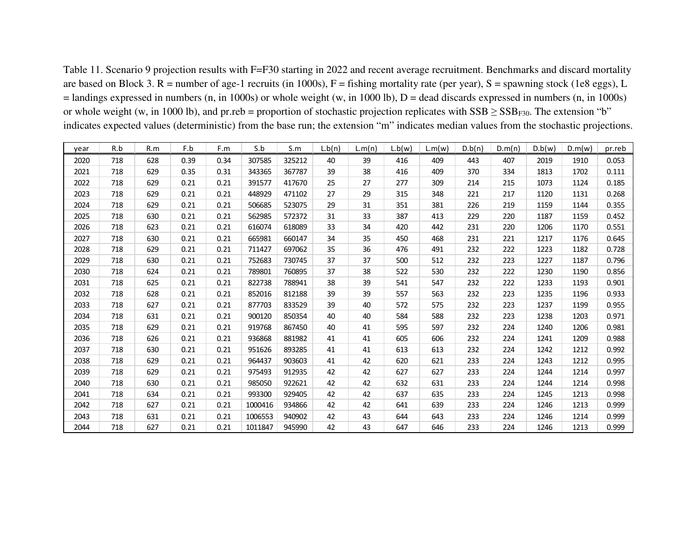Table 11. Scenario 9 projection results with F=F30 starting in 2022 and recent average recruitment. Benchmarks and discard mortality are based on Block 3. R = number of age-1 recruits (in 1000s), F = fishing mortality rate (per year), S = spawning stock (1e8 eggs), L  $=$  landings expressed in numbers (n, in 1000s) or whole weight (w, in 1000 lb),  $D =$  dead discards expressed in numbers (n, in 1000s) or whole weight (w, in 1000 lb), and pr.reb = proportion of stochastic projection replicates with  $SSB \geq SSB_{F30}$ . The extension "b" indicates expected values (deterministic) from the base run; the extension "m" indicates median values from the stochastic projections.

| year | R.b | R.m | F.b  | F.m  | S.b     | S.m    | L.b(n) | L.m(n) | L.b(w) | L.m(w) | D.b(n) | D.m(n) | D.b(w) | D.m(w) | pr.reb |
|------|-----|-----|------|------|---------|--------|--------|--------|--------|--------|--------|--------|--------|--------|--------|
| 2020 | 718 | 628 | 0.39 | 0.34 | 307585  | 325212 | 40     | 39     | 416    | 409    | 443    | 407    | 2019   | 1910   | 0.053  |
| 2021 | 718 | 629 | 0.35 | 0.31 | 343365  | 367787 | 39     | 38     | 416    | 409    | 370    | 334    | 1813   | 1702   | 0.111  |
| 2022 | 718 | 629 | 0.21 | 0.21 | 391577  | 417670 | 25     | 27     | 277    | 309    | 214    | 215    | 1073   | 1124   | 0.185  |
| 2023 | 718 | 629 | 0.21 | 0.21 | 448929  | 471102 | 27     | 29     | 315    | 348    | 221    | 217    | 1120   | 1131   | 0.268  |
| 2024 | 718 | 629 | 0.21 | 0.21 | 506685  | 523075 | 29     | 31     | 351    | 381    | 226    | 219    | 1159   | 1144   | 0.355  |
| 2025 | 718 | 630 | 0.21 | 0.21 | 562985  | 572372 | 31     | 33     | 387    | 413    | 229    | 220    | 1187   | 1159   | 0.452  |
| 2026 | 718 | 623 | 0.21 | 0.21 | 616074  | 618089 | 33     | 34     | 420    | 442    | 231    | 220    | 1206   | 1170   | 0.551  |
| 2027 | 718 | 630 | 0.21 | 0.21 | 665981  | 660147 | 34     | 35     | 450    | 468    | 231    | 221    | 1217   | 1176   | 0.645  |
| 2028 | 718 | 629 | 0.21 | 0.21 | 711427  | 697062 | 35     | 36     | 476    | 491    | 232    | 222    | 1223   | 1182   | 0.728  |
| 2029 | 718 | 630 | 0.21 | 0.21 | 752683  | 730745 | 37     | 37     | 500    | 512    | 232    | 223    | 1227   | 1187   | 0.796  |
| 2030 | 718 | 624 | 0.21 | 0.21 | 789801  | 760895 | 37     | 38     | 522    | 530    | 232    | 222    | 1230   | 1190   | 0.856  |
| 2031 | 718 | 625 | 0.21 | 0.21 | 822738  | 788941 | 38     | 39     | 541    | 547    | 232    | 222    | 1233   | 1193   | 0.901  |
| 2032 | 718 | 628 | 0.21 | 0.21 | 852016  | 812188 | 39     | 39     | 557    | 563    | 232    | 223    | 1235   | 1196   | 0.933  |
| 2033 | 718 | 627 | 0.21 | 0.21 | 877703  | 833529 | 39     | 40     | 572    | 575    | 232    | 223    | 1237   | 1199   | 0.955  |
| 2034 | 718 | 631 | 0.21 | 0.21 | 900120  | 850354 | 40     | 40     | 584    | 588    | 232    | 223    | 1238   | 1203   | 0.971  |
| 2035 | 718 | 629 | 0.21 | 0.21 | 919768  | 867450 | 40     | 41     | 595    | 597    | 232    | 224    | 1240   | 1206   | 0.981  |
| 2036 | 718 | 626 | 0.21 | 0.21 | 936868  | 881982 | 41     | 41     | 605    | 606    | 232    | 224    | 1241   | 1209   | 0.988  |
| 2037 | 718 | 630 | 0.21 | 0.21 | 951626  | 893285 | 41     | 41     | 613    | 613    | 232    | 224    | 1242   | 1212   | 0.992  |
| 2038 | 718 | 629 | 0.21 | 0.21 | 964437  | 903603 | 41     | 42     | 620    | 621    | 233    | 224    | 1243   | 1212   | 0.995  |
| 2039 | 718 | 629 | 0.21 | 0.21 | 975493  | 912935 | 42     | 42     | 627    | 627    | 233    | 224    | 1244   | 1214   | 0.997  |
| 2040 | 718 | 630 | 0.21 | 0.21 | 985050  | 922621 | 42     | 42     | 632    | 631    | 233    | 224    | 1244   | 1214   | 0.998  |
| 2041 | 718 | 634 | 0.21 | 0.21 | 993300  | 929405 | 42     | 42     | 637    | 635    | 233    | 224    | 1245   | 1213   | 0.998  |
| 2042 | 718 | 627 | 0.21 | 0.21 | 1000416 | 934866 | 42     | 42     | 641    | 639    | 233    | 224    | 1246   | 1213   | 0.999  |
| 2043 | 718 | 631 | 0.21 | 0.21 | 1006553 | 940902 | 42     | 43     | 644    | 643    | 233    | 224    | 1246   | 1214   | 0.999  |
| 2044 | 718 | 627 | 0.21 | 0.21 | 1011847 | 945990 | 42     | 43     | 647    | 646    | 233    | 224    | 1246   | 1213   | 0.999  |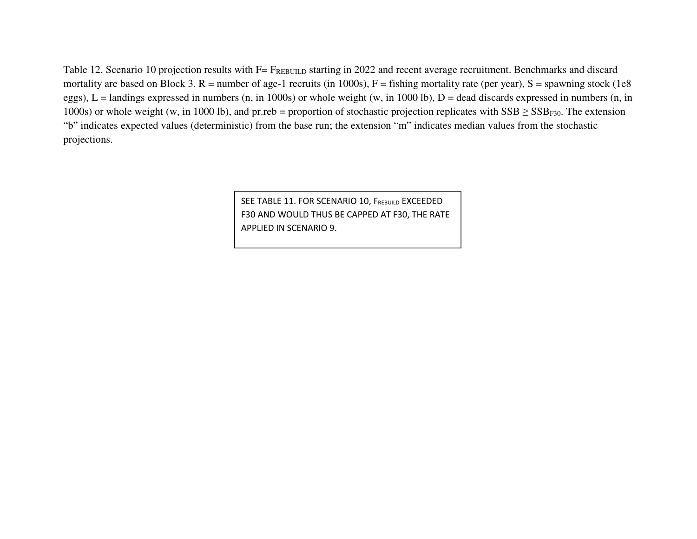Table 12. Scenario 10 projection results with F= FREBUILD starting in 2022 and recent average recruitment. Benchmarks and discard mortality are based on Block 3.  $R =$  number of age-1 recruits (in 1000s),  $F =$  fishing mortality rate (per year),  $S =$  spawning stock (1e8 eggs),  $L =$  landings expressed in numbers (n, in 1000s) or whole weight (w, in 1000 lb),  $D =$  dead discards expressed in numbers (n, in 1000s) or whole weight (w, in 1000 lb), and pr.reb = proportion of stochastic projection replicates with  $SSB \geq SSB_{F30}$ . The extension "b" indicates expected values (deterministic) from the base run; the extension "m" indicates median values from the stochastic projections.

> SEE TABLE 11. FOR SCENARIO 10, F<sub>rebuild</sub> EXCEEDED F30 AND WOULD THUS BE CAPPED AT F30, THE RATE APPLIED IN SCENARIO 9.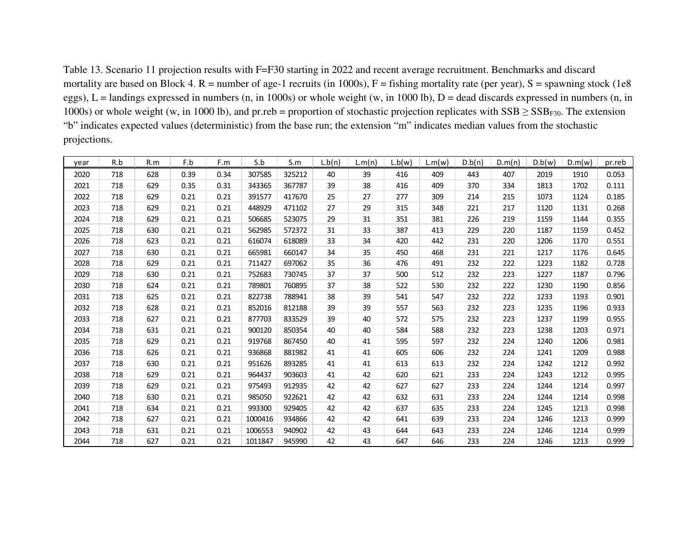Table 13. Scenario 11 projection results with F=F30 starting in 2022 and recent average recruitment. Benchmarks and discard mortality are based on Block 4.  $R =$  number of age-1 recruits (in 1000s),  $F =$  fishing mortality rate (per year),  $S =$  spawning stock (1e8 eggs),  $L =$  landings expressed in numbers (n, in 1000s) or whole weight (w, in 1000 lb),  $D =$  dead discards expressed in numbers (n, in 1000s) or whole weight (w, in 1000 lb), and pr.reb = proportion of stochastic projection replicates with  $SSB \geq SSB_{F30}$ . The extension "b" indicates expected values (deterministic) from the base run; the extension "m" indicates median values from the stochastic projections.

| year | R.b | R.m | F.b  | F.m  | S.b     | S.m    | L.b(n) | L.m(n) | L.b(w) | L.m(w) | D.b(n) | D.m(n) | D.b(w) | D.m(w) | pr.reb |
|------|-----|-----|------|------|---------|--------|--------|--------|--------|--------|--------|--------|--------|--------|--------|
| 2020 | 718 | 628 | 0.39 | 0.34 | 307585  | 325212 | 40     | 39     | 416    | 409    | 443    | 407    | 2019   | 1910   | 0.053  |
| 2021 | 718 | 629 | 0.35 | 0.31 | 343365  | 367787 | 39     | 38     | 416    | 409    | 370    | 334    | 1813   | 1702   | 0.111  |
| 2022 | 718 | 629 | 0.21 | 0.21 | 391577  | 417670 | 25     | 27     | 277    | 309    | 214    | 215    | 1073   | 1124   | 0.185  |
| 2023 | 718 | 629 | 0.21 | 0.21 | 448929  | 471102 | 27     | 29     | 315    | 348    | 221    | 217    | 1120   | 1131   | 0.268  |
| 2024 | 718 | 629 | 0.21 | 0.21 | 506685  | 523075 | 29     | 31     | 351    | 381    | 226    | 219    | 1159   | 1144   | 0.355  |
| 2025 | 718 | 630 | 0.21 | 0.21 | 562985  | 572372 | 31     | 33     | 387    | 413    | 229    | 220    | 1187   | 1159   | 0.452  |
| 2026 | 718 | 623 | 0.21 | 0.21 | 616074  | 618089 | 33     | 34     | 420    | 442    | 231    | 220    | 1206   | 1170   | 0.551  |
| 2027 | 718 | 630 | 0.21 | 0.21 | 665981  | 660147 | 34     | 35     | 450    | 468    | 231    | 221    | 1217   | 1176   | 0.645  |
| 2028 | 718 | 629 | 0.21 | 0.21 | 711427  | 697062 | 35     | 36     | 476    | 491    | 232    | 222    | 1223   | 1182   | 0.728  |
| 2029 | 718 | 630 | 0.21 | 0.21 | 752683  | 730745 | 37     | 37     | 500    | 512    | 232    | 223    | 1227   | 1187   | 0.796  |
| 2030 | 718 | 624 | 0.21 | 0.21 | 789801  | 760895 | 37     | 38     | 522    | 530    | 232    | 222    | 1230   | 1190   | 0.856  |
| 2031 | 718 | 625 | 0.21 | 0.21 | 822738  | 788941 | 38     | 39     | 541    | 547    | 232    | 222    | 1233   | 1193   | 0.901  |
| 2032 | 718 | 628 | 0.21 | 0.21 | 852016  | 812188 | 39     | 39     | 557    | 563    | 232    | 223    | 1235   | 1196   | 0.933  |
| 2033 | 718 | 627 | 0.21 | 0.21 | 877703  | 833529 | 39     | 40     | 572    | 575    | 232    | 223    | 1237   | 1199   | 0.955  |
| 2034 | 718 | 631 | 0.21 | 0.21 | 900120  | 850354 | 40     | 40     | 584    | 588    | 232    | 223    | 1238   | 1203   | 0.971  |
| 2035 | 718 | 629 | 0.21 | 0.21 | 919768  | 867450 | 40     | 41     | 595    | 597    | 232    | 224    | 1240   | 1206   | 0.981  |
| 2036 | 718 | 626 | 0.21 | 0.21 | 936868  | 881982 | 41     | 41     | 605    | 606    | 232    | 224    | 1241   | 1209   | 0.988  |
| 2037 | 718 | 630 | 0.21 | 0.21 | 951626  | 893285 | 41     | 41     | 613    | 613    | 232    | 224    | 1242   | 1212   | 0.992  |
| 2038 | 718 | 629 | 0.21 | 0.21 | 964437  | 903603 | 41     | 42     | 620    | 621    | 233    | 224    | 1243   | 1212   | 0.995  |
| 2039 | 718 | 629 | 0.21 | 0.21 | 975493  | 912935 | 42     | 42     | 627    | 627    | 233    | 224    | 1244   | 1214   | 0.997  |
| 2040 | 718 | 630 | 0.21 | 0.21 | 985050  | 922621 | 42     | 42     | 632    | 631    | 233    | 224    | 1244   | 1214   | 0.998  |
| 2041 | 718 | 634 | 0.21 | 0.21 | 993300  | 929405 | 42     | 42     | 637    | 635    | 233    | 224    | 1245   | 1213   | 0.998  |
| 2042 | 718 | 627 | 0.21 | 0.21 | 1000416 | 934866 | 42     | 42     | 641    | 639    | 233    | 224    | 1246   | 1213   | 0.999  |
| 2043 | 718 | 631 | 0.21 | 0.21 | 1006553 | 940902 | 42     | 43     | 644    | 643    | 233    | 224    | 1246   | 1214   | 0.999  |
| 2044 | 718 | 627 | 0.21 | 0.21 | 1011847 | 945990 | 42     | 43     | 647    | 646    | 233    | 224    | 1246   | 1213   | 0.999  |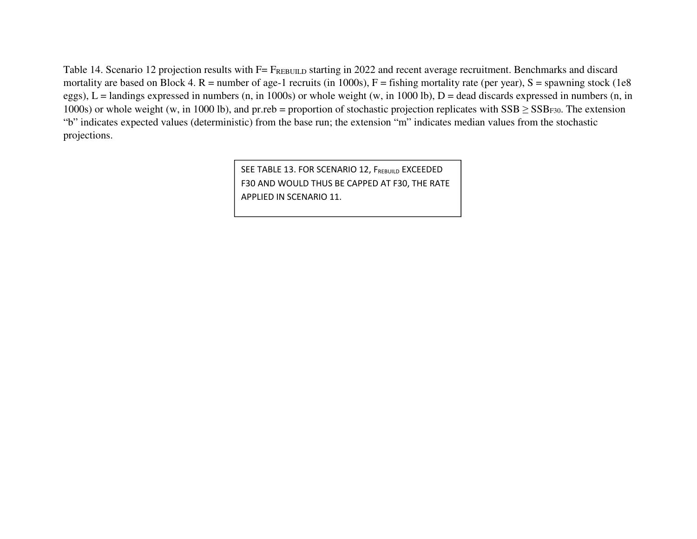Table 14. Scenario 12 projection results with F= FREBUILD starting in 2022 and recent average recruitment. Benchmarks and discard mortality are based on Block 4.  $R =$  number of age-1 recruits (in 1000s),  $F =$  fishing mortality rate (per year),  $S =$  spawning stock (1e8 eggs),  $L =$  landings expressed in numbers (n, in 1000s) or whole weight (w, in 1000 lb),  $D =$  dead discards expressed in numbers (n, in 1000s) or whole weight (w, in 1000 lb), and pr.reb = proportion of stochastic projection replicates with  $SSB \geq SSB_{F30}$ . The extension "b" indicates expected values (deterministic) from the base run; the extension "m" indicates median values from the stochastic projections.

> SEE TABLE 13. FOR SCENARIO 12, F<sub>rebuild</sub> EXCEEDED F30 AND WOULD THUS BE CAPPED AT F30, THE RATE APPLIED IN SCENARIO 11.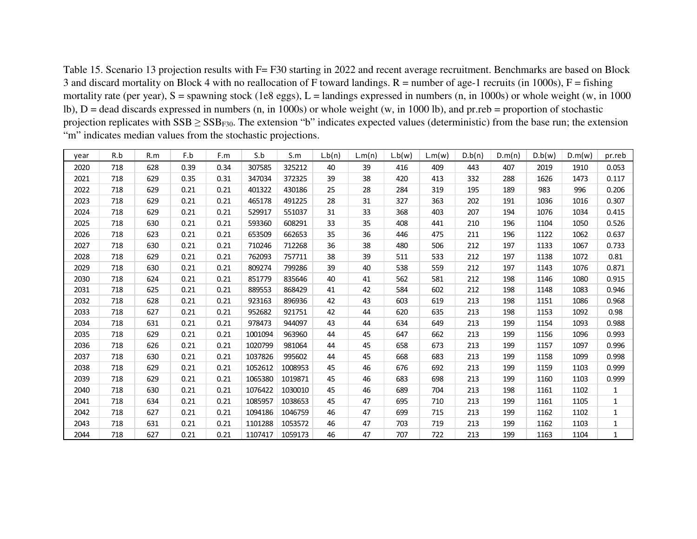Table 15. Scenario 13 projection results with F= F30 starting in 2022 and recent average recruitment. Benchmarks are based on Block 3 and discard mortality on Block 4 with no reallocation of F toward landings.  $R =$  number of age-1 recruits (in 1000s),  $F =$  fishing mortality rate (per year),  $S =$  spawning stock (1e8 eggs),  $L =$  landings expressed in numbers (n, in 1000s) or whole weight (w, in 1000 lb), D = dead discards expressed in numbers (n, in 1000s) or whole weight (w, in 1000 lb), and pr.reb = proportion of stochastic projection replicates with  $SSB \geq SSB_{F30}$ . The extension "b" indicates expected values (deterministic) from the base run; the extension "m" indicates median values from the stochastic projections.

| year | R.b | R.m | F.b  | F.m  | S.b     | S.m     | L.b(n) | L.m(n) | L.b(w) | L.m(w) | D.b(n) | D.m(n) | D.b(w) | D.m(w) | pr.reb       |
|------|-----|-----|------|------|---------|---------|--------|--------|--------|--------|--------|--------|--------|--------|--------------|
| 2020 | 718 | 628 | 0.39 | 0.34 | 307585  | 325212  | 40     | 39     | 416    | 409    | 443    | 407    | 2019   | 1910   | 0.053        |
| 2021 | 718 | 629 | 0.35 | 0.31 | 347034  | 372325  | 39     | 38     | 420    | 413    | 332    | 288    | 1626   | 1473   | 0.117        |
| 2022 | 718 | 629 | 0.21 | 0.21 | 401322  | 430186  | 25     | 28     | 284    | 319    | 195    | 189    | 983    | 996    | 0.206        |
| 2023 | 718 | 629 | 0.21 | 0.21 | 465178  | 491225  | 28     | 31     | 327    | 363    | 202    | 191    | 1036   | 1016   | 0.307        |
| 2024 | 718 | 629 | 0.21 | 0.21 | 529917  | 551037  | 31     | 33     | 368    | 403    | 207    | 194    | 1076   | 1034   | 0.415        |
| 2025 | 718 | 630 | 0.21 | 0.21 | 593360  | 608291  | 33     | 35     | 408    | 441    | 210    | 196    | 1104   | 1050   | 0.526        |
| 2026 | 718 | 623 | 0.21 | 0.21 | 653509  | 662653  | 35     | 36     | 446    | 475    | 211    | 196    | 1122   | 1062   | 0.637        |
| 2027 | 718 | 630 | 0.21 | 0.21 | 710246  | 712268  | 36     | 38     | 480    | 506    | 212    | 197    | 1133   | 1067   | 0.733        |
| 2028 | 718 | 629 | 0.21 | 0.21 | 762093  | 757711  | 38     | 39     | 511    | 533    | 212    | 197    | 1138   | 1072   | 0.81         |
| 2029 | 718 | 630 | 0.21 | 0.21 | 809274  | 799286  | 39     | 40     | 538    | 559    | 212    | 197    | 1143   | 1076   | 0.871        |
| 2030 | 718 | 624 | 0.21 | 0.21 | 851779  | 835646  | 40     | 41     | 562    | 581    | 212    | 198    | 1146   | 1080   | 0.915        |
| 2031 | 718 | 625 | 0.21 | 0.21 | 889553  | 868429  | 41     | 42     | 584    | 602    | 212    | 198    | 1148   | 1083   | 0.946        |
| 2032 | 718 | 628 | 0.21 | 0.21 | 923163  | 896936  | 42     | 43     | 603    | 619    | 213    | 198    | 1151   | 1086   | 0.968        |
| 2033 | 718 | 627 | 0.21 | 0.21 | 952682  | 921751  | 42     | 44     | 620    | 635    | 213    | 198    | 1153   | 1092   | 0.98         |
| 2034 | 718 | 631 | 0.21 | 0.21 | 978473  | 944097  | 43     | 44     | 634    | 649    | 213    | 199    | 1154   | 1093   | 0.988        |
| 2035 | 718 | 629 | 0.21 | 0.21 | 1001094 | 963960  | 44     | 45     | 647    | 662    | 213    | 199    | 1156   | 1096   | 0.993        |
| 2036 | 718 | 626 | 0.21 | 0.21 | 1020799 | 981064  | 44     | 45     | 658    | 673    | 213    | 199    | 1157   | 1097   | 0.996        |
| 2037 | 718 | 630 | 0.21 | 0.21 | 1037826 | 995602  | 44     | 45     | 668    | 683    | 213    | 199    | 1158   | 1099   | 0.998        |
| 2038 | 718 | 629 | 0.21 | 0.21 | 1052612 | 1008953 | 45     | 46     | 676    | 692    | 213    | 199    | 1159   | 1103   | 0.999        |
| 2039 | 718 | 629 | 0.21 | 0.21 | 1065380 | 1019871 | 45     | 46     | 683    | 698    | 213    | 199    | 1160   | 1103   | 0.999        |
| 2040 | 718 | 630 | 0.21 | 0.21 | 1076422 | 1030010 | 45     | 46     | 689    | 704    | 213    | 198    | 1161   | 1102   | $\mathbf{1}$ |
| 2041 | 718 | 634 | 0.21 | 0.21 | 1085957 | 1038653 | 45     | 47     | 695    | 710    | 213    | 199    | 1161   | 1105   | 1            |
| 2042 | 718 | 627 | 0.21 | 0.21 | 1094186 | 1046759 | 46     | 47     | 699    | 715    | 213    | 199    | 1162   | 1102   | 1            |
| 2043 | 718 | 631 | 0.21 | 0.21 | 1101288 | 1053572 | 46     | 47     | 703    | 719    | 213    | 199    | 1162   | 1103   | 1            |
| 2044 | 718 | 627 | 0.21 | 0.21 | 1107417 | 1059173 | 46     | 47     | 707    | 722    | 213    | 199    | 1163   | 1104   | $\mathbf{1}$ |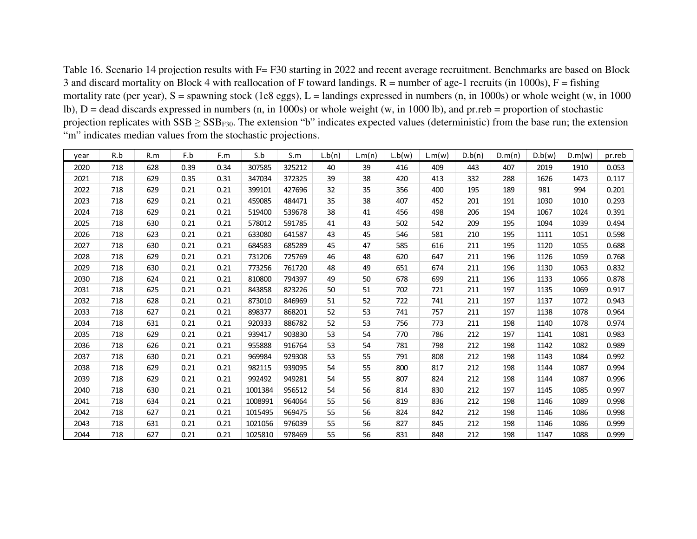Table 16. Scenario 14 projection results with F= F30 starting in 2022 and recent average recruitment. Benchmarks are based on Block 3 and discard mortality on Block 4 with reallocation of F toward landings.  $R =$  number of age-1 recruits (in 1000s),  $F =$  fishing mortality rate (per year),  $S =$  spawning stock (1e8 eggs),  $L =$  landings expressed in numbers (n, in 1000s) or whole weight (w, in 1000 lb), D = dead discards expressed in numbers (n, in 1000s) or whole weight (w, in 1000 lb), and pr.reb = proportion of stochastic projection replicates with  $SSB \geq SSB_{F30}$ . The extension "b" indicates expected values (deterministic) from the base run; the extension "m" indicates median values from the stochastic projections.

| year | R.b | R.m | F.b  | F.m  | S.b     | S.m    | L.b(n) | L.m(n) | L.b(w) | L.m(w) | D.b(n) | D.m(n) | D.b(w) | D.m(w) | pr.reb |
|------|-----|-----|------|------|---------|--------|--------|--------|--------|--------|--------|--------|--------|--------|--------|
| 2020 | 718 | 628 | 0.39 | 0.34 | 307585  | 325212 | 40     | 39     | 416    | 409    | 443    | 407    | 2019   | 1910   | 0.053  |
| 2021 | 718 | 629 | 0.35 | 0.31 | 347034  | 372325 | 39     | 38     | 420    | 413    | 332    | 288    | 1626   | 1473   | 0.117  |
| 2022 | 718 | 629 | 0.21 | 0.21 | 399101  | 427696 | 32     | 35     | 356    | 400    | 195    | 189    | 981    | 994    | 0.201  |
| 2023 | 718 | 629 | 0.21 | 0.21 | 459085  | 484471 | 35     | 38     | 407    | 452    | 201    | 191    | 1030   | 1010   | 0.293  |
| 2024 | 718 | 629 | 0.21 | 0.21 | 519400  | 539678 | 38     | 41     | 456    | 498    | 206    | 194    | 1067   | 1024   | 0.391  |
| 2025 | 718 | 630 | 0.21 | 0.21 | 578012  | 591785 | 41     | 43     | 502    | 542    | 209    | 195    | 1094   | 1039   | 0.494  |
| 2026 | 718 | 623 | 0.21 | 0.21 | 633080  | 641587 | 43     | 45     | 546    | 581    | 210    | 195    | 1111   | 1051   | 0.598  |
| 2027 | 718 | 630 | 0.21 | 0.21 | 684583  | 685289 | 45     | 47     | 585    | 616    | 211    | 195    | 1120   | 1055   | 0.688  |
| 2028 | 718 | 629 | 0.21 | 0.21 | 731206  | 725769 | 46     | 48     | 620    | 647    | 211    | 196    | 1126   | 1059   | 0.768  |
| 2029 | 718 | 630 | 0.21 | 0.21 | 773256  | 761720 | 48     | 49     | 651    | 674    | 211    | 196    | 1130   | 1063   | 0.832  |
| 2030 | 718 | 624 | 0.21 | 0.21 | 810800  | 794397 | 49     | 50     | 678    | 699    | 211    | 196    | 1133   | 1066   | 0.878  |
| 2031 | 718 | 625 | 0.21 | 0.21 | 843858  | 823226 | 50     | 51     | 702    | 721    | 211    | 197    | 1135   | 1069   | 0.917  |
| 2032 | 718 | 628 | 0.21 | 0.21 | 873010  | 846969 | 51     | 52     | 722    | 741    | 211    | 197    | 1137   | 1072   | 0.943  |
| 2033 | 718 | 627 | 0.21 | 0.21 | 898377  | 868201 | 52     | 53     | 741    | 757    | 211    | 197    | 1138   | 1078   | 0.964  |
| 2034 | 718 | 631 | 0.21 | 0.21 | 920333  | 886782 | 52     | 53     | 756    | 773    | 211    | 198    | 1140   | 1078   | 0.974  |
| 2035 | 718 | 629 | 0.21 | 0.21 | 939417  | 903830 | 53     | 54     | 770    | 786    | 212    | 197    | 1141   | 1081   | 0.983  |
| 2036 | 718 | 626 | 0.21 | 0.21 | 955888  | 916764 | 53     | 54     | 781    | 798    | 212    | 198    | 1142   | 1082   | 0.989  |
| 2037 | 718 | 630 | 0.21 | 0.21 | 969984  | 929308 | 53     | 55     | 791    | 808    | 212    | 198    | 1143   | 1084   | 0.992  |
| 2038 | 718 | 629 | 0.21 | 0.21 | 982115  | 939095 | 54     | 55     | 800    | 817    | 212    | 198    | 1144   | 1087   | 0.994  |
| 2039 | 718 | 629 | 0.21 | 0.21 | 992492  | 949281 | 54     | 55     | 807    | 824    | 212    | 198    | 1144   | 1087   | 0.996  |
| 2040 | 718 | 630 | 0.21 | 0.21 | 1001384 | 956512 | 54     | 56     | 814    | 830    | 212    | 197    | 1145   | 1085   | 0.997  |
| 2041 | 718 | 634 | 0.21 | 0.21 | 1008991 | 964064 | 55     | 56     | 819    | 836    | 212    | 198    | 1146   | 1089   | 0.998  |
| 2042 | 718 | 627 | 0.21 | 0.21 | 1015495 | 969475 | 55     | 56     | 824    | 842    | 212    | 198    | 1146   | 1086   | 0.998  |
| 2043 | 718 | 631 | 0.21 | 0.21 | 1021056 | 976039 | 55     | 56     | 827    | 845    | 212    | 198    | 1146   | 1086   | 0.999  |
| 2044 | 718 | 627 | 0.21 | 0.21 | 1025810 | 978469 | 55     | 56     | 831    | 848    | 212    | 198    | 1147   | 1088   | 0.999  |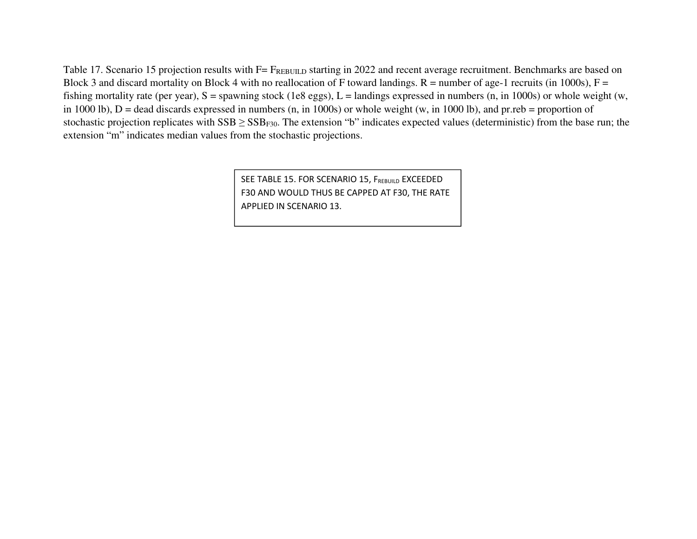Table 17. Scenario 15 projection results with F= FREBUILD starting in 2022 and recent average recruitment. Benchmarks are based on Block 3 and discard mortality on Block 4 with no reallocation of F toward landings.  $R =$  number of age-1 recruits (in 1000s),  $F =$ fishing mortality rate (per year),  $S =$  spawning stock (1e8 eggs),  $L =$  landings expressed in numbers (n, in 1000s) or whole weight (w, in 1000 lb),  $D =$  dead discards expressed in numbers (n, in 1000s) or whole weight (w, in 1000 lb), and pr.reb = proportion of stochastic projection replicates with  $SSB \geq SSB_{F30}$ . The extension "b" indicates expected values (deterministic) from the base run; the extension "m" indicates median values from the stochastic projections.

> SEE TABLE 15. FOR SCENARIO 15, F<sub>rebuild</sub> EXCEEDED F30 AND WOULD THUS BE CAPPED AT F30, THE RATE APPLIED IN SCENARIO 13.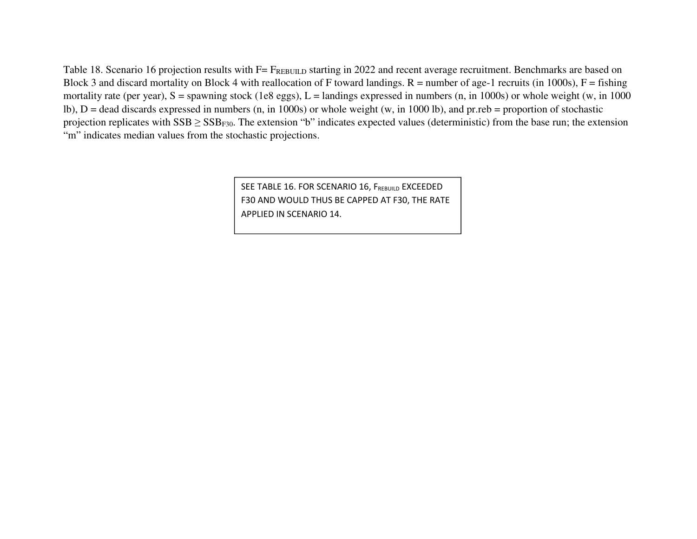Table 18. Scenario 16 projection results with F= FREBUILD starting in 2022 and recent average recruitment. Benchmarks are based on Block 3 and discard mortality on Block 4 with reallocation of F toward landings.  $R =$  number of age-1 recruits (in 1000s),  $F =$  fishing mortality rate (per year),  $S =$  spawning stock (1e8 eggs),  $L =$  landings expressed in numbers (n, in 1000s) or whole weight (w, in 1000 lb),  $D =$  dead discards expressed in numbers (n, in 1000s) or whole weight (w, in 1000 lb), and pr.reb = proportion of stochastic projection replicates with  $SSB \geq SSB_{F30}$ . The extension "b" indicates expected values (deterministic) from the base run; the extension "m" indicates median values from the stochastic projections.

> SEE TABLE 16. FOR SCENARIO 16, F<sub>rebuild</sub> EXCEEDED F30 AND WOULD THUS BE CAPPED AT F30, THE RATE APPLIED IN SCENARIO 14.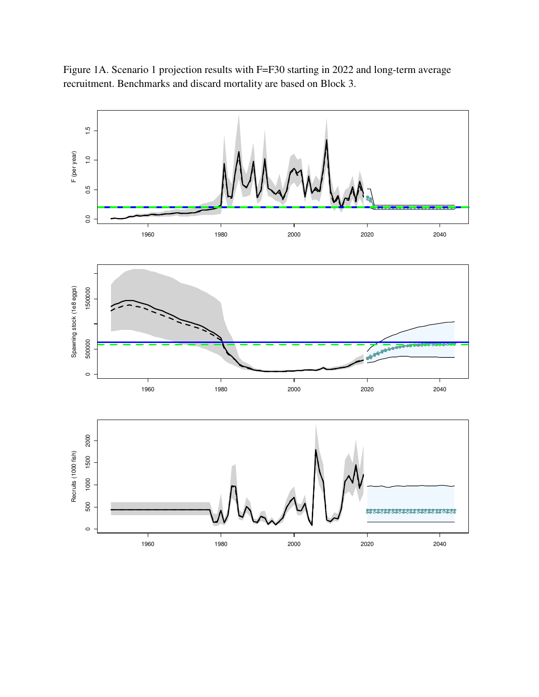Figure 1A. Scenario 1 projection results with F=F30 starting in 2022 and long-term average recruitment. Benchmarks and discard mortality are based on Block 3.

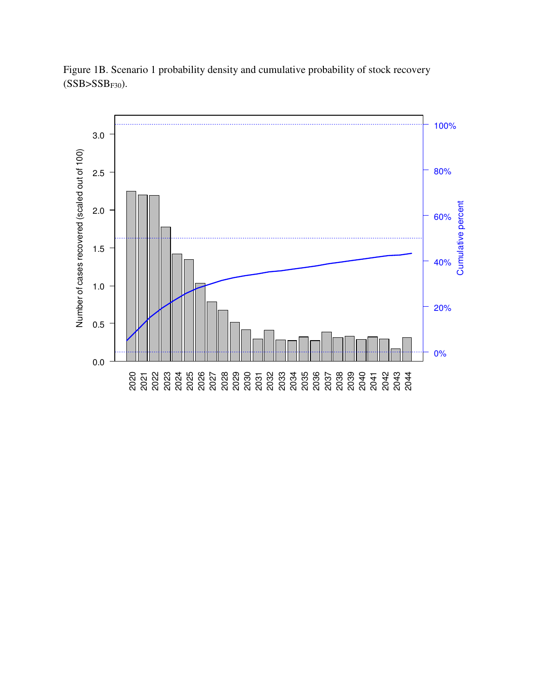

Figure 1B. Scenario 1 probability density and cumulative probability of stock recovery  $(SSB>SSB<sub>F30</sub>)$ .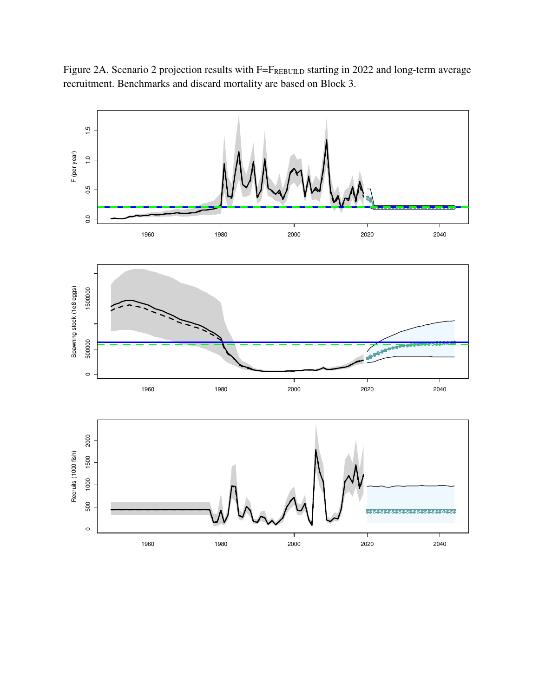Figure 2A. Scenario 2 projection results with F=FREBUILD starting in 2022 and long-term average recruitment. Benchmarks and discard mortality are based on Block 3.

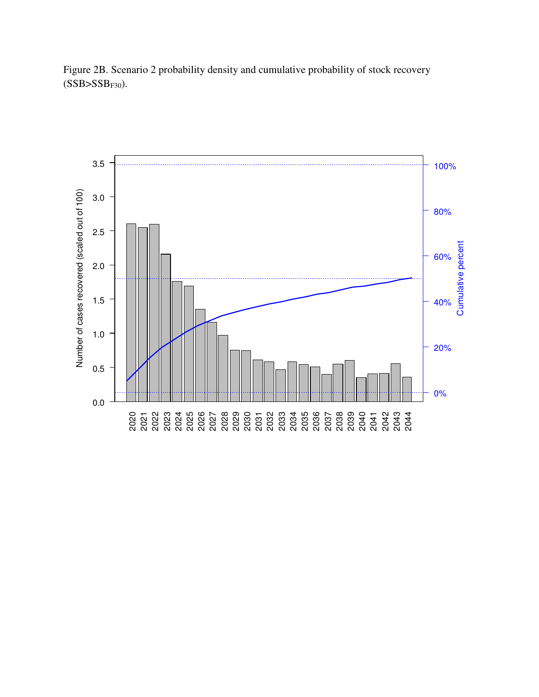

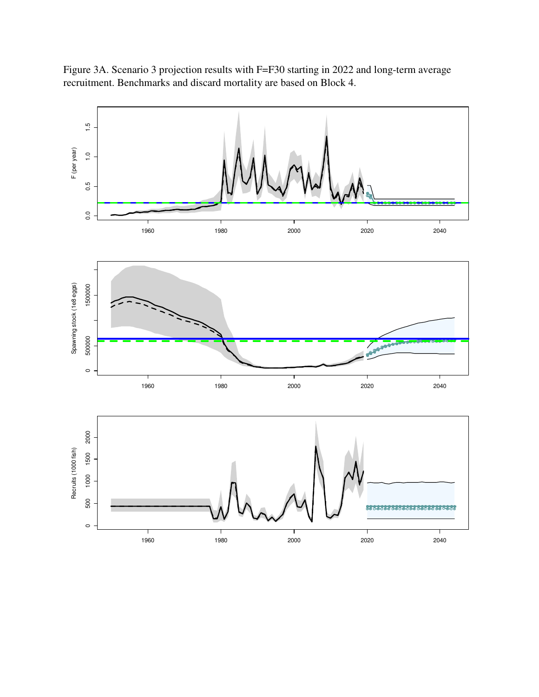Figure 3A. Scenario 3 projection results with F=F30 starting in 2022 and long-term average recruitment. Benchmarks and discard mortality are based on Block 4.

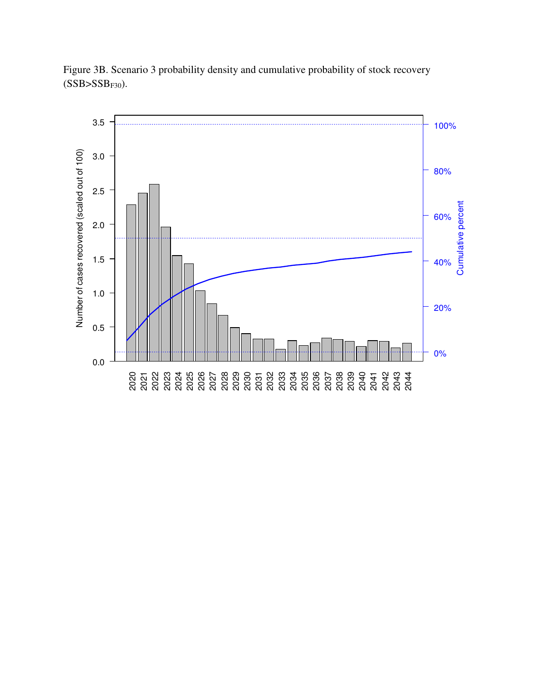

Figure 3B. Scenario 3 probability density and cumulative probability of stock recovery  $(SSB>SSB<sub>F30</sub>)$ .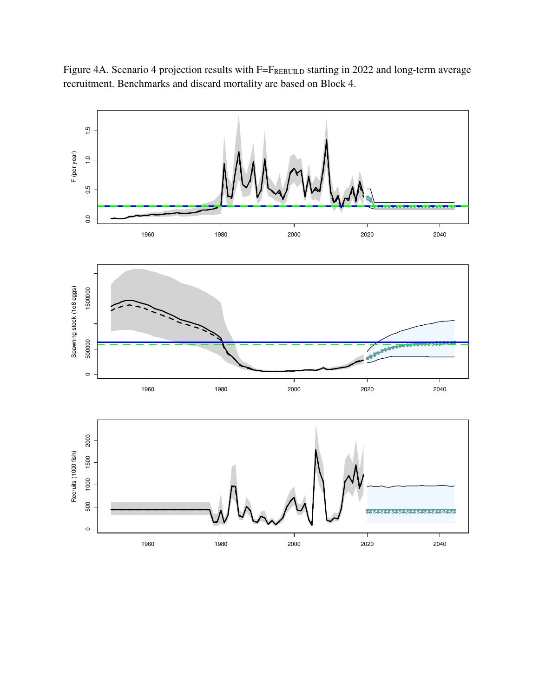Figure 4A. Scenario 4 projection results with F=FREBUILD starting in 2022 and long-term average recruitment. Benchmarks and discard mortality are based on Block 4.

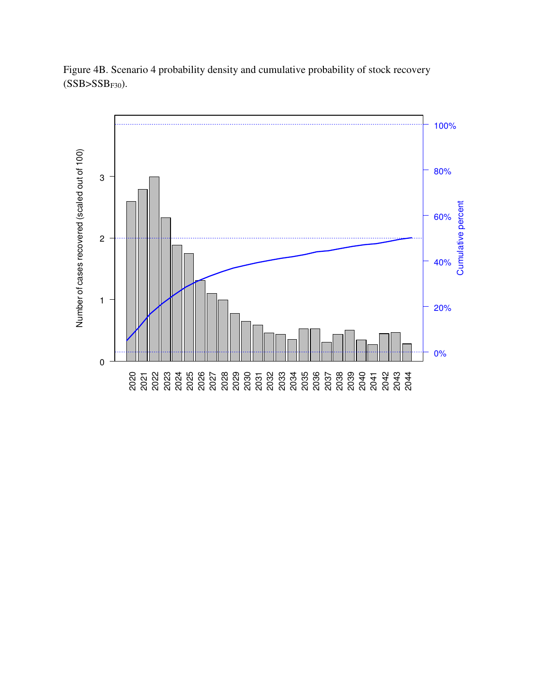

Figure 4B. Scenario 4 probability density and cumulative probability of stock recovery  $(SSB>SSB<sub>F30</sub>)$ .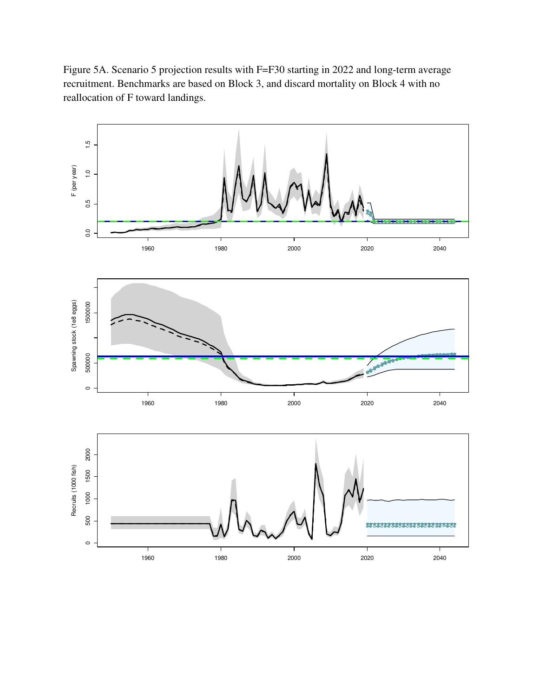Figure 5A. Scenario 5 projection results with F=F30 starting in 2022 and long-term average recruitment. Benchmarks are based on Block 3, and discard mortality on Block 4 with no reallocation of F toward landings.

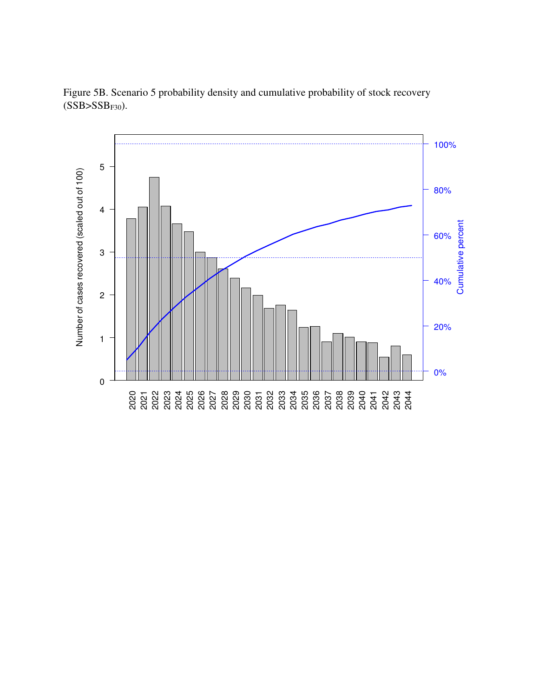

Figure 5B. Scenario 5 probability density and cumulative probability of stock recovery  $(SSB>SSB<sub>F30</sub>)$ .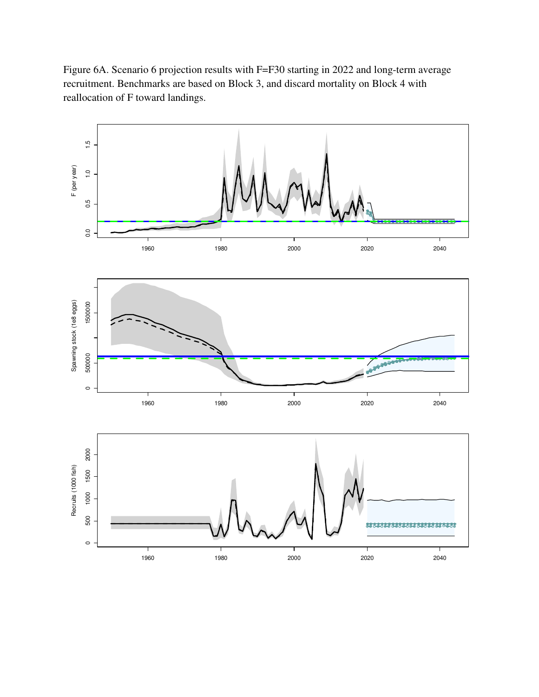Figure 6A. Scenario 6 projection results with F=F30 starting in 2022 and long-term average recruitment. Benchmarks are based on Block 3, and discard mortality on Block 4 with reallocation of F toward landings.

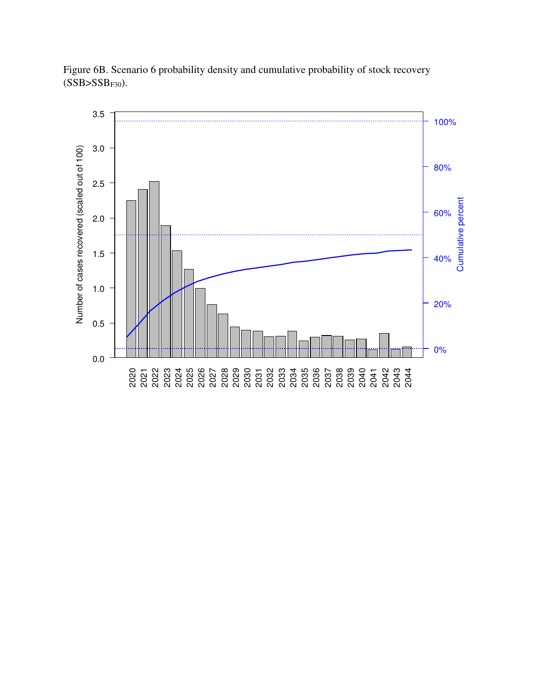

Figure 6B. Scenario 6 probability density and cumulative probability of stock recovery  $(SSB>SSB<sub>F30</sub>)$ .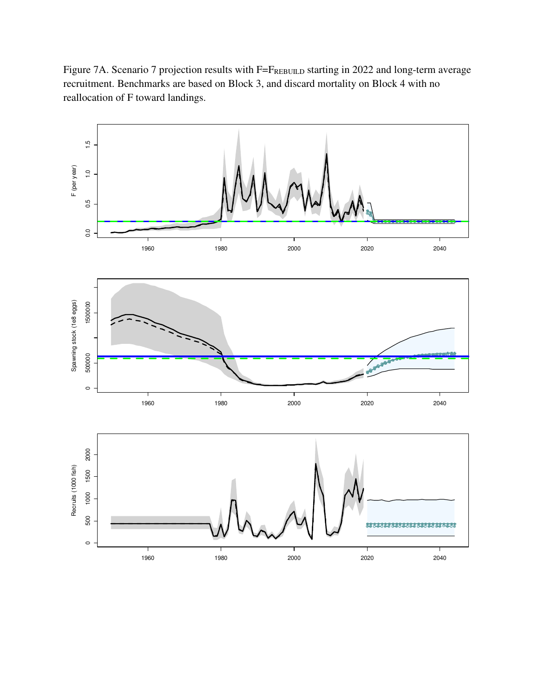Figure 7A. Scenario 7 projection results with F=FREBUILD starting in 2022 and long-term average recruitment. Benchmarks are based on Block 3, and discard mortality on Block 4 with no reallocation of F toward landings.

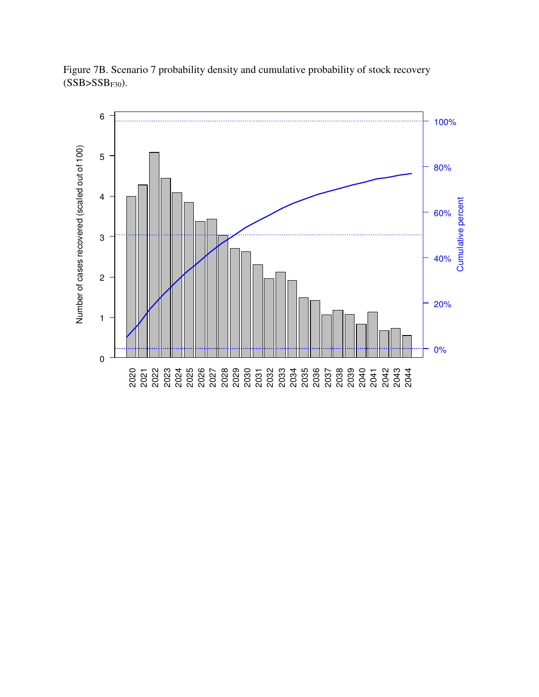

Figure 7B. Scenario 7 probability density and cumulative probability of stock recovery  $(SSB>SSB<sub>F30</sub>)$ .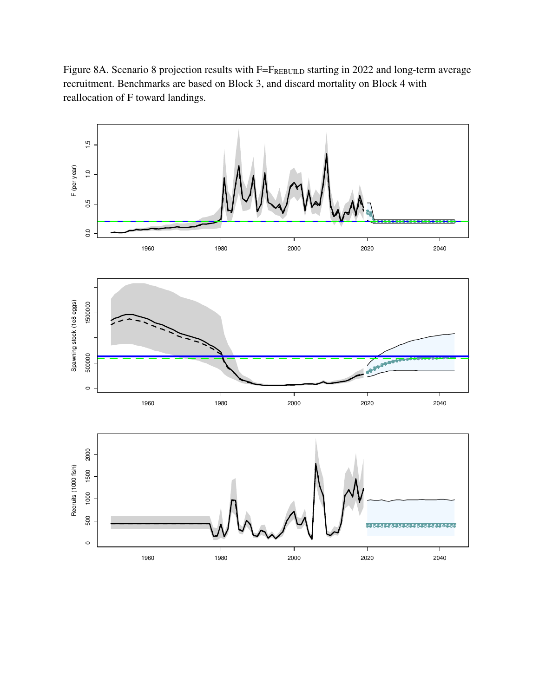Figure 8A. Scenario 8 projection results with F=FREBUILD starting in 2022 and long-term average recruitment. Benchmarks are based on Block 3, and discard mortality on Block 4 with reallocation of F toward landings.

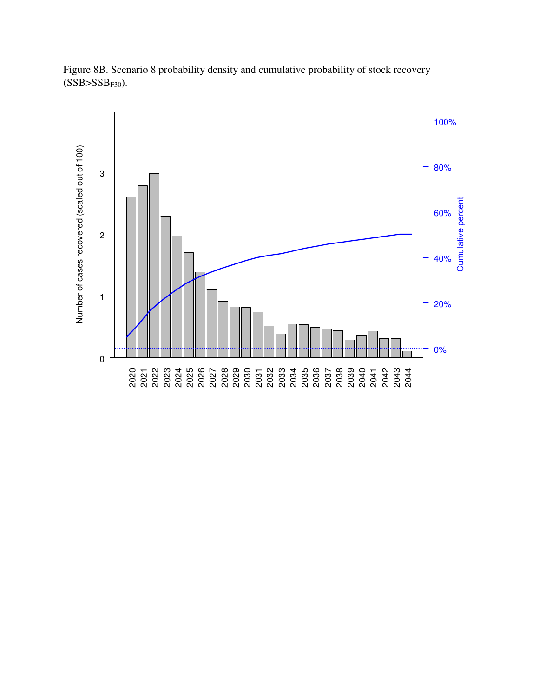

Figure 8B. Scenario 8 probability density and cumulative probability of stock recovery  $(SSB>SSB<sub>F30</sub>)$ .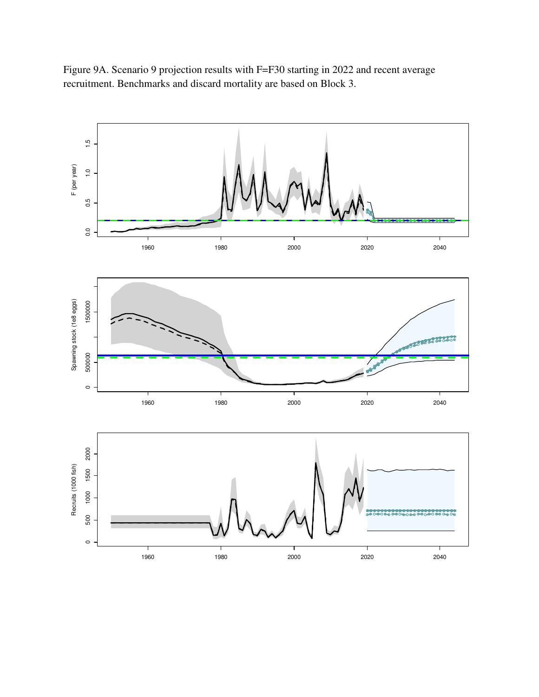

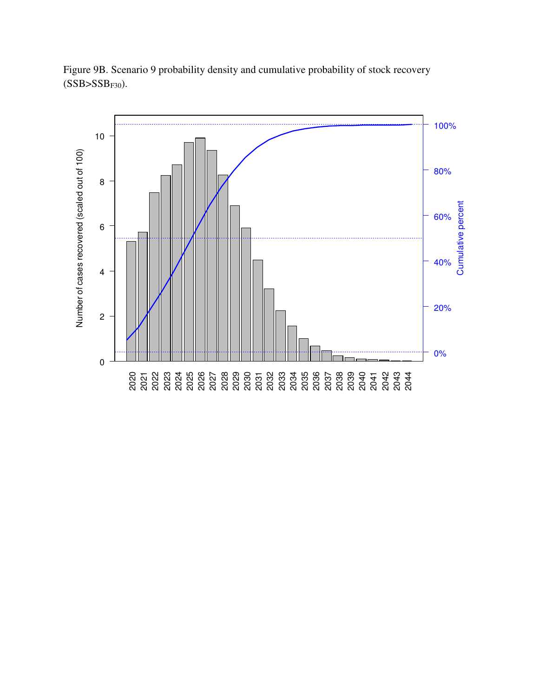

Figure 9B. Scenario 9 probability density and cumulative probability of stock recovery  $(SSB>SSB<sub>F30</sub>)$ .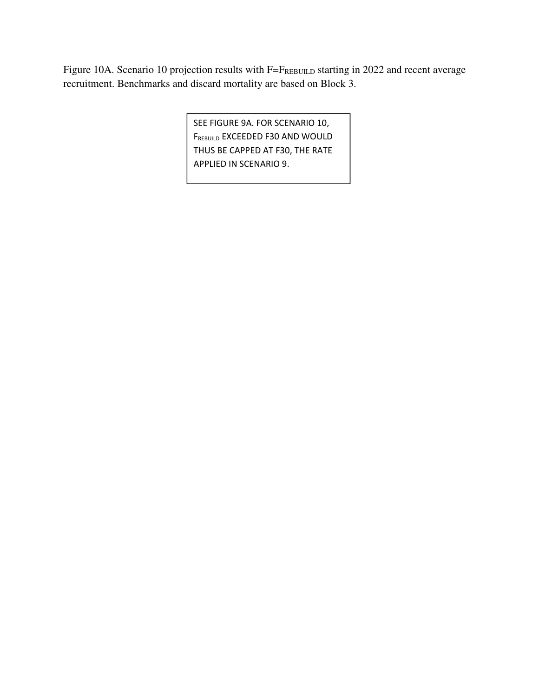Figure 10A. Scenario 10 projection results with F=FREBUILD starting in 2022 and recent average recruitment. Benchmarks and discard mortality are based on Block 3.

> SEE FIGURE 9A. FOR SCENARIO 10, FREBUILD EXCEEDED F30 AND WOULD THUS BE CAPPED AT F30, THE RATE APPLIED IN SCENARIO 9.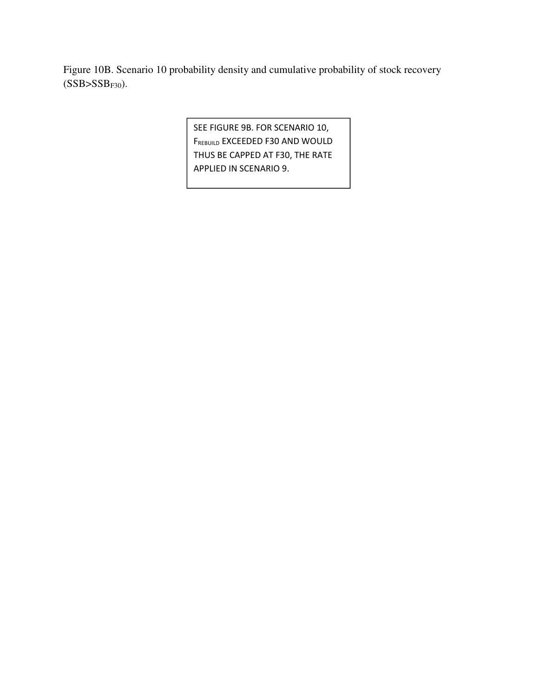Figure 10B. Scenario 10 probability density and cumulative probability of stock recovery  $(SSB>SSB<sub>F30</sub>)$ .

> SEE FIGURE 9B. FOR SCENARIO 10, FREBUILD EXCEEDED F30 AND WOULD THUS BE CAPPED AT F30, THE RATE APPLIED IN SCENARIO 9.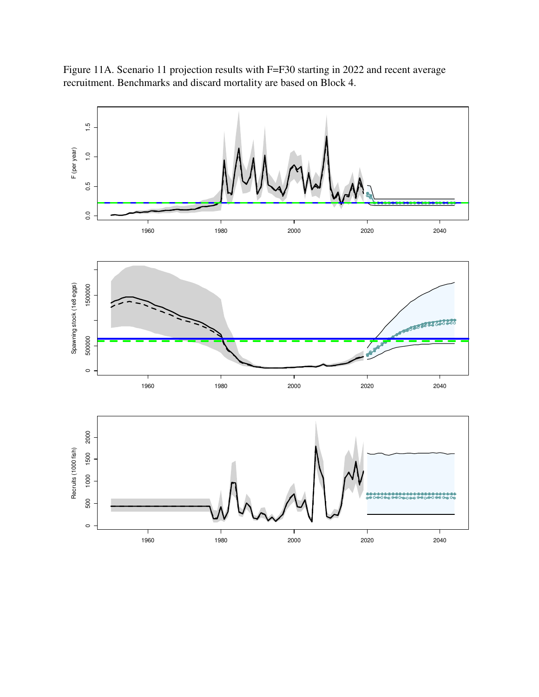Figure 11A. Scenario 11 projection results with F=F30 starting in 2022 and recent average recruitment. Benchmarks and discard mortality are based on Block 4.

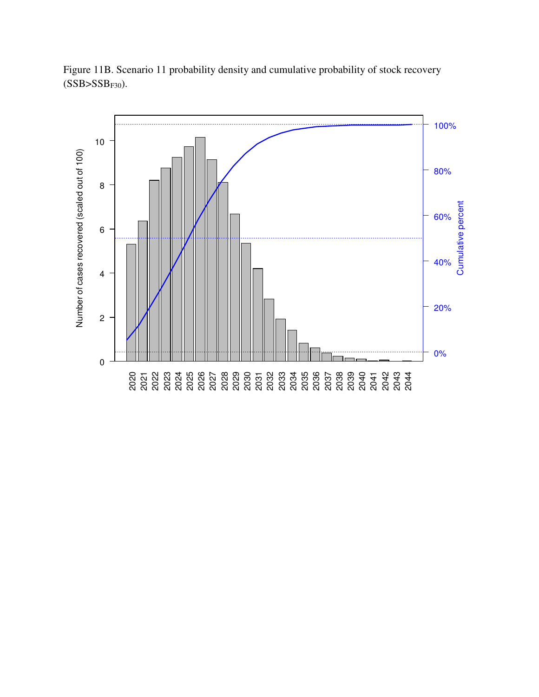

Figure 11B. Scenario 11 probability density and cumulative probability of stock recovery  $(SSB>SSB<sub>F30</sub>)$ .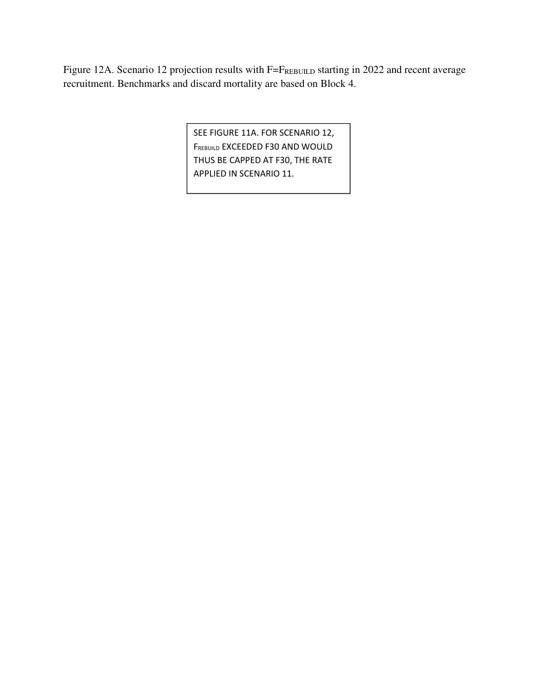Figure 12A. Scenario 12 projection results with F=FREBUILD starting in 2022 and recent average recruitment. Benchmarks and discard mortality are based on Block 4.

> SEE FIGURE 11A. FOR SCENARIO 12, FREBUILD EXCEEDED F30 AND WOULD THUS BE CAPPED AT F30, THE RATE APPLIED IN SCENARIO 11.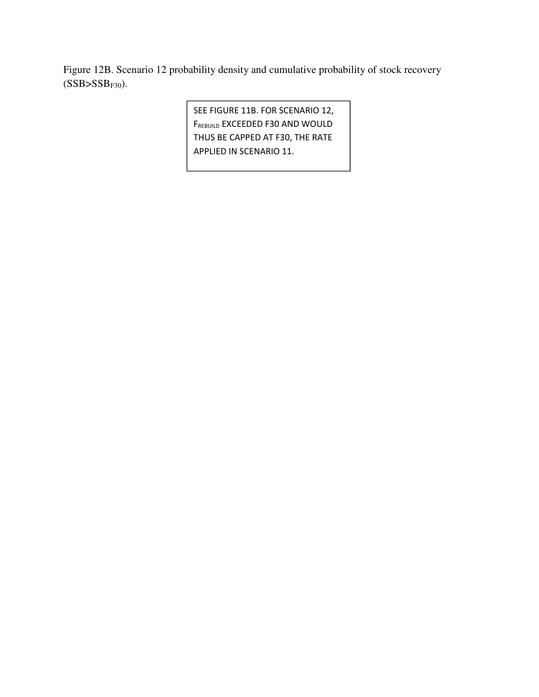Figure 12B. Scenario 12 probability density and cumulative probability of stock recovery  $(SSB>SSB<sub>F30</sub>)$ .

> SEE FIGURE 11B. FOR SCENARIO 12, FREBUILD EXCEEDED F30 AND WOULD THUS BE CAPPED AT F30, THE RATE APPLIED IN SCENARIO 11.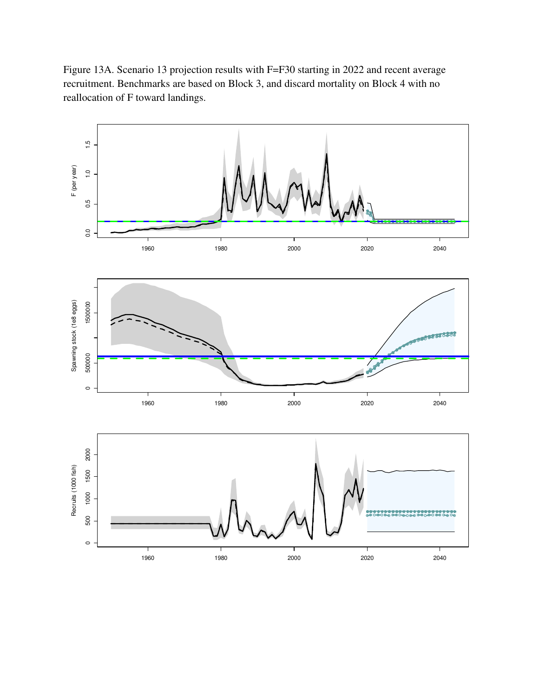Figure 13A. Scenario 13 projection results with F=F30 starting in 2022 and recent average recruitment. Benchmarks are based on Block 3, and discard mortality on Block 4 with no reallocation of F toward landings.

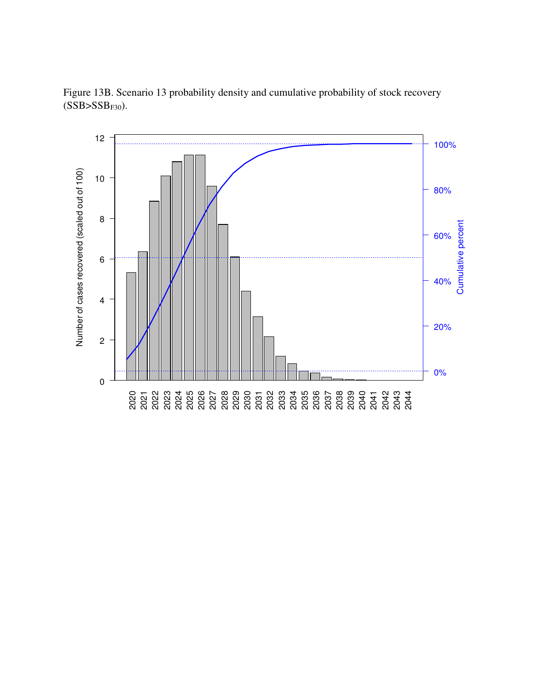

Figure 13B. Scenario 13 probability density and cumulative probability of stock recovery  $(SSB>SSB<sub>F30</sub>)$ .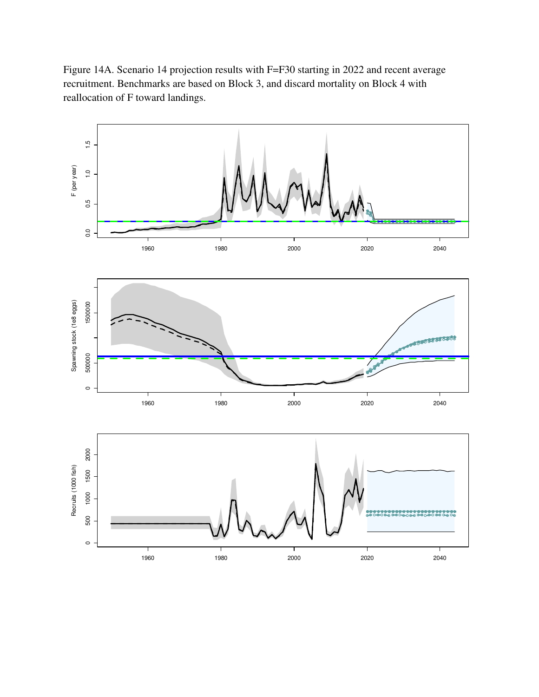Figure 14A. Scenario 14 projection results with F=F30 starting in 2022 and recent average recruitment. Benchmarks are based on Block 3, and discard mortality on Block 4 with reallocation of F toward landings.

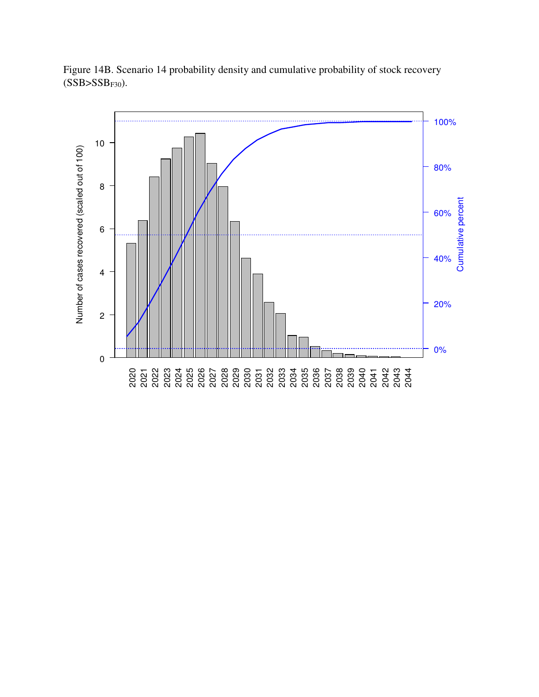

Figure 14B. Scenario 14 probability density and cumulative probability of stock recovery  $(SSB>SSB<sub>F30</sub>)$ .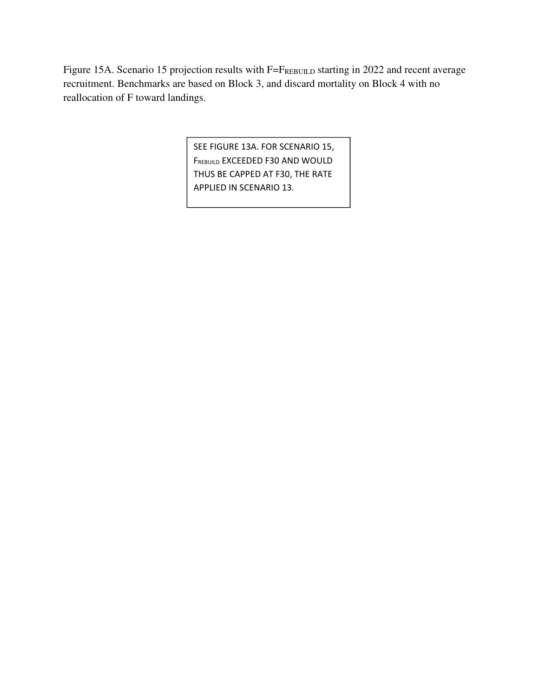Figure 15A. Scenario 15 projection results with F=FREBUILD starting in 2022 and recent average recruitment. Benchmarks are based on Block 3, and discard mortality on Block 4 with no reallocation of F toward landings.

> SEE FIGURE 13A. FOR SCENARIO 15, FREBUILD EXCEEDED F30 AND WOULD THUS BE CAPPED AT F30, THE RATE APPLIED IN SCENARIO 13.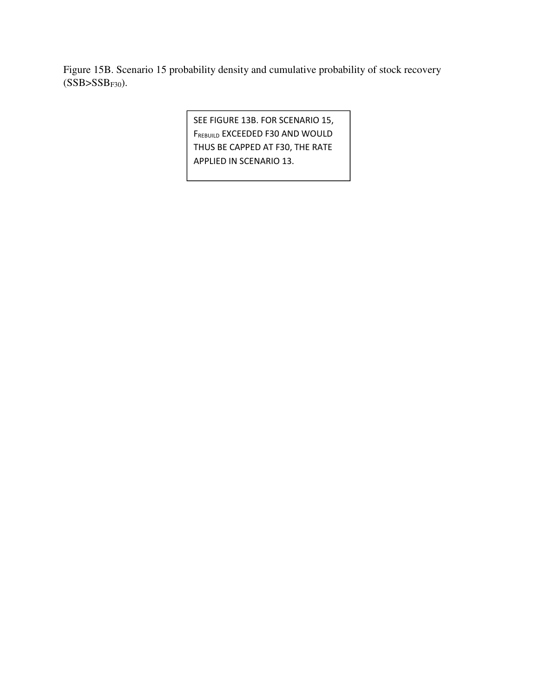Figure 15B. Scenario 15 probability density and cumulative probability of stock recovery  $(SSB>SSB<sub>F30</sub>)$ .

> SEE FIGURE 13B. FOR SCENARIO 15, FREBUILD EXCEEDED F30 AND WOULD THUS BE CAPPED AT F30, THE RATE APPLIED IN SCENARIO 13.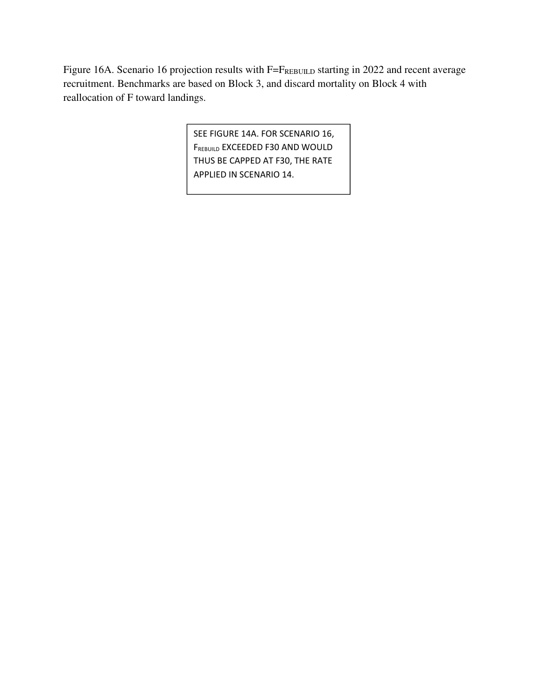Figure 16A. Scenario 16 projection results with F=FREBUILD starting in 2022 and recent average recruitment. Benchmarks are based on Block 3, and discard mortality on Block 4 with reallocation of F toward landings.

> SEE FIGURE 14A. FOR SCENARIO 16, FREBUILD EXCEEDED F30 AND WOULD THUS BE CAPPED AT F30, THE RATE APPLIED IN SCENARIO 14.